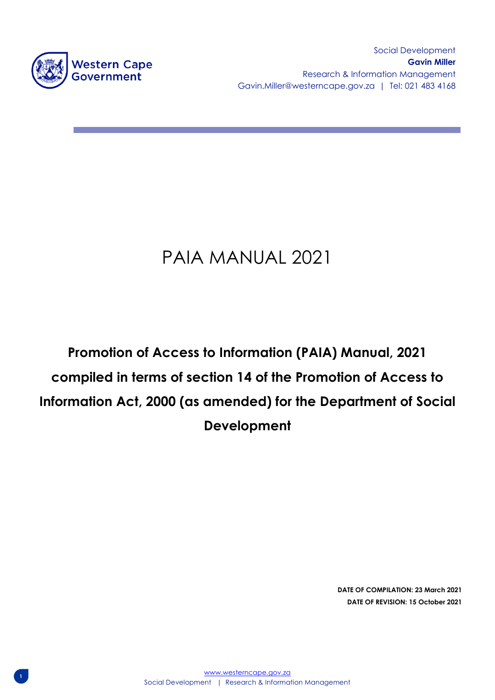

**1**

Social Development **Gavin Miller** Research & Information Management Gavin.Miller@westerncape.gov.za | Tel: 021 483 4168

# PAIA MANUAL 2021

# **Promotion of Access to Information (PAIA) Manual, 2021 compiled in terms of section 14 of the Promotion of Access to Information Act, 2000 (as amended) for the Department of Social Development**

**DATE OF COMPILATION: 23 March 2021 DATE OF REVISION: 15 October 2021**

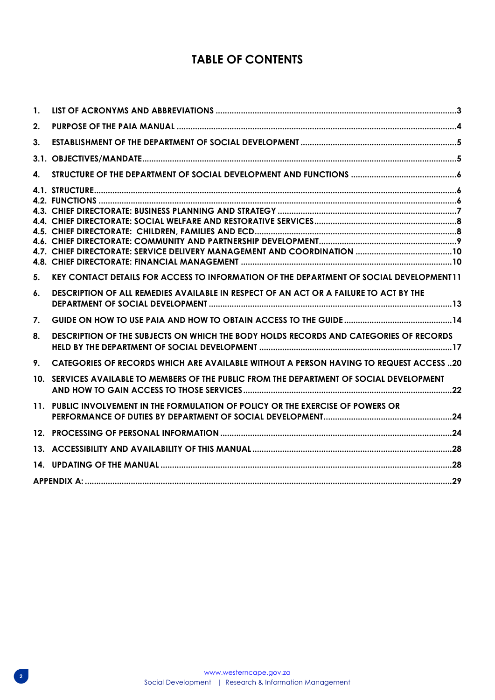## **TABLE OF CONTENTS**

<span id="page-1-0"></span>

| $\mathbf{1}$ . |                                                                                               |  |
|----------------|-----------------------------------------------------------------------------------------------|--|
| 2.             |                                                                                               |  |
| 3.             |                                                                                               |  |
|                |                                                                                               |  |
| 4.             |                                                                                               |  |
|                |                                                                                               |  |
|                |                                                                                               |  |
| 5.             | KEY CONTACT DETAILS FOR ACCESS TO INFORMATION OF THE DEPARTMENT OF SOCIAL DEVELOPMENT11       |  |
| 6.             | DESCRIPTION OF ALL REMEDIES AVAILABLE IN RESPECT OF AN ACT OR A FAILURE TO ACT BY THE         |  |
| 7.             |                                                                                               |  |
| 8.             | DESCRIPTION OF THE SUBJECTS ON WHICH THE BODY HOLDS RECORDS AND CATEGORIES OF RECORDS         |  |
| 9.             | <b>CATEGORIES OF RECORDS WHICH ARE AVAILABLE WITHOUT A PERSON HAVING TO REQUEST ACCESS 20</b> |  |
|                | 10. SERVICES AVAILABLE TO MEMBERS OF THE PUBLIC FROM THE DEPARTMENT OF SOCIAL DEVELOPMENT     |  |
|                | 11. PUBLIC INVOLVEMENT IN THE FORMULATION OF POLICY OR THE EXERCISE OF POWERS OR              |  |
|                |                                                                                               |  |
|                |                                                                                               |  |
|                |                                                                                               |  |
|                |                                                                                               |  |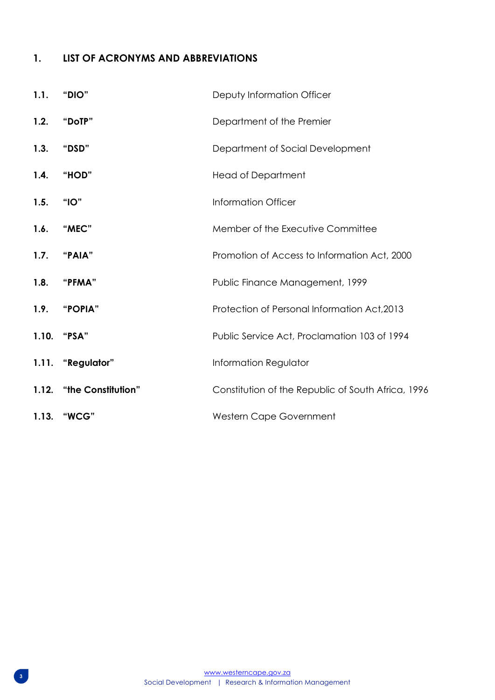## **1. LIST OF ACRONYMS AND ABBREVIATIONS**

| 1.1. | "DIO"                    | Deputy Information Officer                         |
|------|--------------------------|----------------------------------------------------|
| 1.2. | "DoTP"                   | Department of the Premier                          |
| 1.3. | "DSD"                    | Department of Social Development                   |
| 1.4. | "HOD"                    | <b>Head of Department</b>                          |
| 1.5. | "IO"                     | <b>Information Officer</b>                         |
| 1.6. | "MEC"                    | Member of the Executive Committee                  |
|      | 1.7. "PAIA"              | Promotion of Access to Information Act, 2000       |
| 1.8. | "PFMA"                   | Public Finance Management, 1999                    |
|      | 1.9. "POPIA"             | Protection of Personal Information Act, 2013       |
|      | 1.10. "PSA"              | Public Service Act, Proclamation 103 of 1994       |
|      | 1.11. "Regulator"        | Information Regulator                              |
|      | 1.12. "the Constitution" | Constitution of the Republic of South Africa, 1996 |
|      | 1.13. "WCG"              | Western Cape Government                            |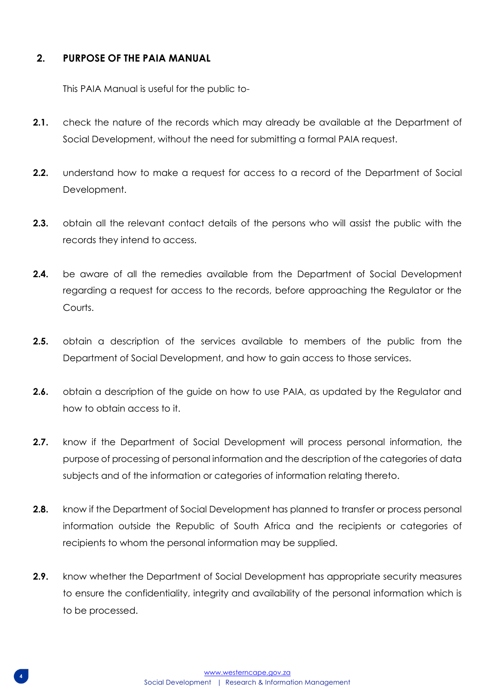## <span id="page-3-0"></span>**2. PURPOSE OF THE PAIA MANUAL**

This PAIA Manual is useful for the public to-

- **2.1.** check the nature of the records which may already be available at the Department of Social Development, without the need for submitting a formal PAIA request.
- **2.2.** understand how to make a request for access to a record of the Department of Social Development.
- **2.3.** obtain all the relevant contact details of the persons who will assist the public with the records they intend to access.
- **2.4.** be aware of all the remedies available from the Department of Social Development regarding a request for access to the records, before approaching the Regulator or the Courts.
- **2.5.** obtain a description of the services available to members of the public from the Department of Social Development, and how to gain access to those services.
- **2.6.** obtain a description of the guide on how to use PAIA, as updated by the Regulator and how to obtain access to it.
- **2.7.** know if the Department of Social Development will process personal information, the purpose of processing of personal information and the description of the categories of data subjects and of the information or categories of information relating thereto.
- **2.8.** know if the Department of Social Development has planned to transfer or process personal information outside the Republic of South Africa and the recipients or categories of recipients to whom the personal information may be supplied.
- **2.9.** know whether the Department of Social Development has appropriate security measures to ensure the confidentiality, integrity and availability of the personal information which is to be processed.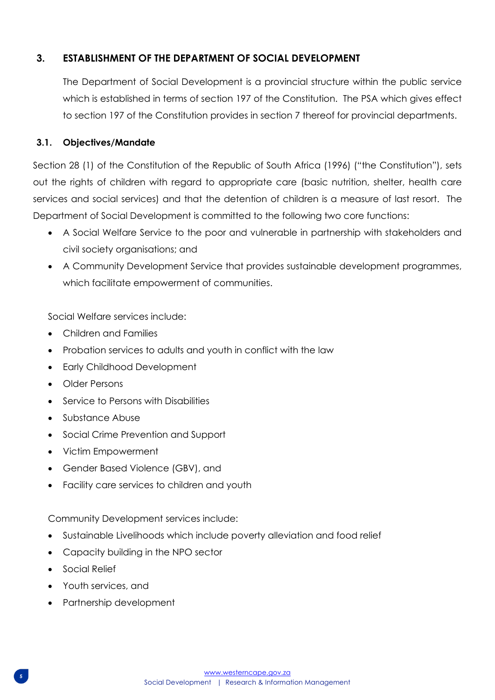## <span id="page-4-0"></span>**3. ESTABLISHMENT OF THE DEPARTMENT OF SOCIAL DEVELOPMENT**

The Department of Social Development is a provincial structure within the public service which is established in terms of section 197 of the Constitution. The PSA which gives effect to section 197 of the Constitution provides in section 7 thereof for provincial departments.

## <span id="page-4-1"></span>**3.1. Objectives/Mandate**

Section 28 (1) of the Constitution of the Republic of South Africa (1996) ("the Constitution"), sets out the rights of children with regard to appropriate care (basic nutrition, shelter, health care services and social services) and that the detention of children is a measure of last resort. The Department of Social Development is committed to the following two core functions:

- A Social Welfare Service to the poor and vulnerable in partnership with stakeholders and civil society organisations; and
- A Community Development Service that provides sustainable development programmes, which facilitate empowerment of communities.

Social Welfare services include:

- Children and Families
- Probation services to adults and youth in conflict with the law
- Early Childhood Development
- Older Persons
- Service to Persons with Disabilities
- Substance Abuse
- Social Crime Prevention and Support
- Victim Empowerment
- Gender Based Violence (GBV), and
- Facility care services to children and youth

Community Development services include:

- Sustainable Livelihoods which include poverty alleviation and food relief
- Capacity building in the NPO sector
- Social Relief
- Youth services, and
- Partnership development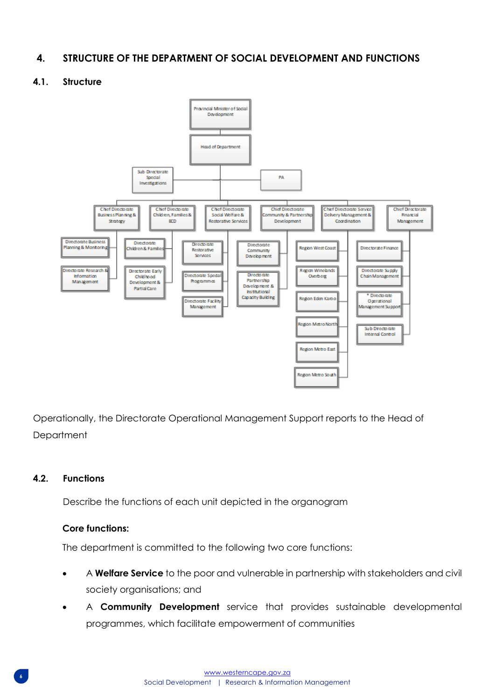## <span id="page-5-0"></span>**4. STRUCTURE OF THE DEPARTMENT OF SOCIAL DEVELOPMENT AND FUNCTIONS**

#### **4.1. Structure**

<span id="page-5-1"></span>

Operationally, the Directorate Operational Management Support reports to the Head of **Department** 

#### <span id="page-5-2"></span>**4.2. Functions**

Describe the functions of each unit depicted in the organogram

#### **Core functions:**

The department is committed to the following two core functions:

- A **Welfare Service** to the poor and vulnerable in partnership with stakeholders and civil society organisations; and
- A **Community Development** service that provides sustainable developmental programmes, which facilitate empowerment of communities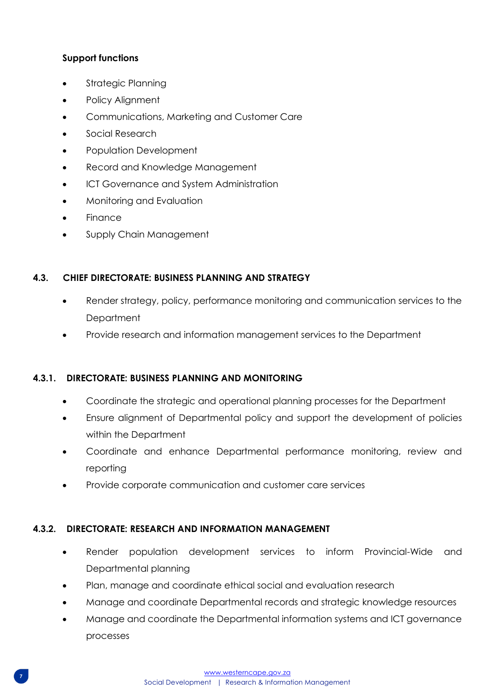## **Support functions**

- Strategic Planning
- Policy Alignment
- Communications, Marketing and Customer Care
- Social Research
- Population Development
- Record and Knowledge Management
- ICT Governance and System Administration
- Monitoring and Evaluation
- Finance
- Supply Chain Management

## <span id="page-6-0"></span>**4.3. CHIEF DIRECTORATE: BUSINESS PLANNING AND STRATEGY**

- Render strategy, policy, performance monitoring and communication services to the **Department**
- Provide research and information management services to the Department

## **4.3.1. DIRECTORATE: BUSINESS PLANNING AND MONITORING**

- Coordinate the strategic and operational planning processes for the Department
- Ensure alignment of Departmental policy and support the development of policies within the Department
- Coordinate and enhance Departmental performance monitoring, review and reporting
- Provide corporate communication and customer care services

### **4.3.2. DIRECTORATE: RESEARCH AND INFORMATION MANAGEMENT**

- Render population development services to inform Provincial-Wide and Departmental planning
- Plan, manage and coordinate ethical social and evaluation research
- Manage and coordinate Departmental records and strategic knowledge resources
- Manage and coordinate the Departmental information systems and ICT governance processes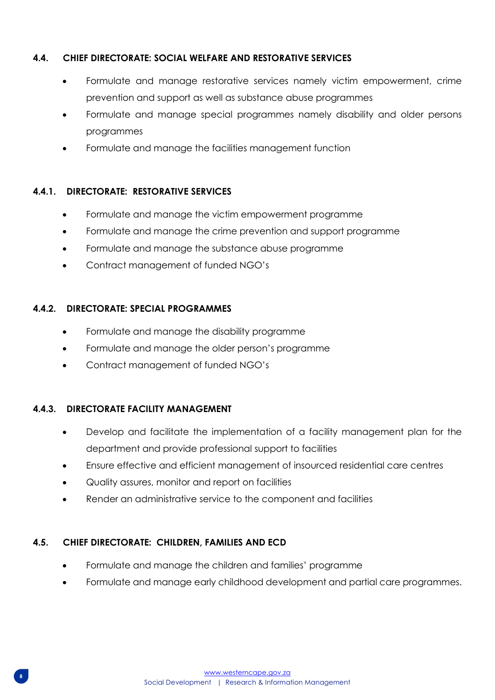## <span id="page-7-0"></span>**4.4. CHIEF DIRECTORATE: SOCIAL WELFARE AND RESTORATIVE SERVICES**

- Formulate and manage restorative services namely victim empowerment, crime prevention and support as well as substance abuse programmes
- Formulate and manage special programmes namely disability and older persons programmes
- Formulate and manage the facilities management function

### **4.4.1. DIRECTORATE: RESTORATIVE SERVICES**

- Formulate and manage the victim empowerment programme
- Formulate and manage the crime prevention and support programme
- Formulate and manage the substance abuse programme
- Contract management of funded NGO's

#### **4.4.2. DIRECTORATE: SPECIAL PROGRAMMES**

- Formulate and manage the disability programme
- Formulate and manage the older person's programme
- Contract management of funded NGO's

### **4.4.3. DIRECTORATE FACILITY MANAGEMENT**

- Develop and facilitate the implementation of a facility management plan for the department and provide professional support to facilities
- Ensure effective and efficient management of insourced residential care centres
- Quality assures, monitor and report on facilities
- Render an administrative service to the component and facilities

#### <span id="page-7-1"></span>**4.5. CHIEF DIRECTORATE: CHILDREN, FAMILIES AND ECD**

- Formulate and manage the children and families' programme
- Formulate and manage early childhood development and partial care programmes.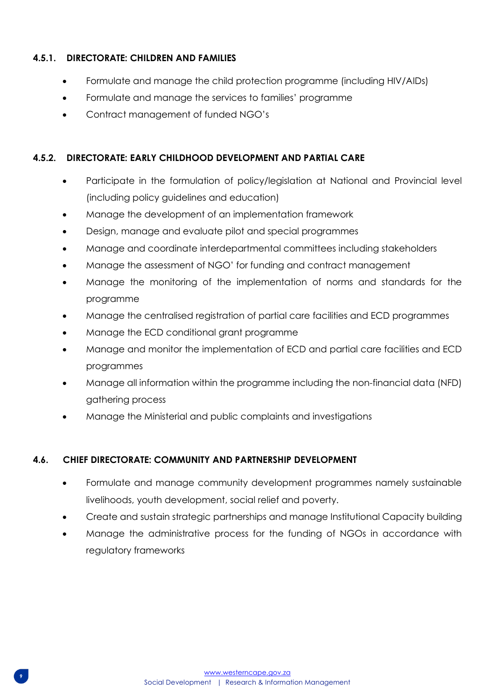## **4.5.1. DIRECTORATE: CHILDREN AND FAMILIES**

- Formulate and manage the child protection programme (including HIV/AIDs)
- Formulate and manage the services to families' programme
- Contract management of funded NGO's

### **4.5.2. DIRECTORATE: EARLY CHILDHOOD DEVELOPMENT AND PARTIAL CARE**

- Participate in the formulation of policy/legislation at National and Provincial level (including policy guidelines and education)
- Manage the development of an implementation framework
- Design, manage and evaluate pilot and special programmes
- Manage and coordinate interdepartmental committees including stakeholders
- Manage the assessment of NGO' for funding and contract management
- Manage the monitoring of the implementation of norms and standards for the programme
- Manage the centralised registration of partial care facilities and ECD programmes
- Manage the ECD conditional grant programme
- Manage and monitor the implementation of ECD and partial care facilities and ECD programmes
- Manage all information within the programme including the non-financial data (NFD) gathering process
- Manage the Ministerial and public complaints and investigations

### <span id="page-8-0"></span>**4.6. CHIEF DIRECTORATE: COMMUNITY AND PARTNERSHIP DEVELOPMENT**

- Formulate and manage community development programmes namely sustainable livelihoods, youth development, social relief and poverty.
- Create and sustain strategic partnerships and manage Institutional Capacity building
- Manage the administrative process for the funding of NGOs in accordance with regulatory frameworks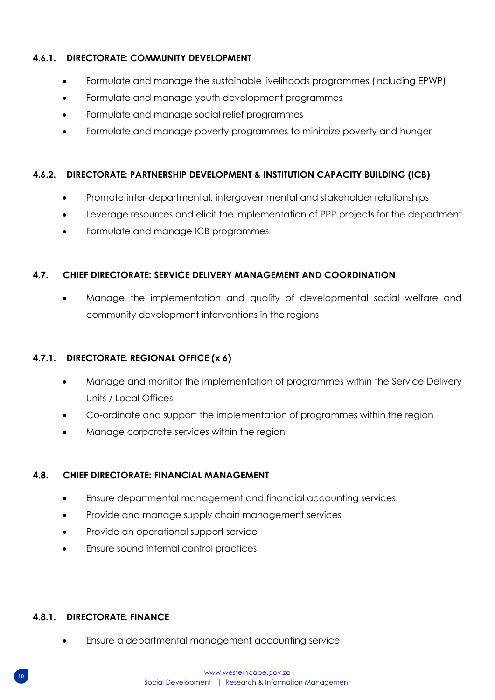## **4.6.1. DIRECTORATE: COMMUNITY DEVELOPMENT**

- Formulate and manage the sustainable livelihoods programmes (including EPWP)
- Formulate and manage youth development programmes
- Formulate and manage social relief programmes
- Formulate and manage poverty programmes to minimize poverty and hunger

## **4.6.2. DIRECTORATE: PARTNERSHIP DEVELOPMENT & INSTITUTION CAPACITY BUILDING (ICB)**

- Promote inter-departmental, intergovernmental and stakeholder relationships
- Leverage resources and elicit the implementation of PPP projects for the department
- Formulate and manage ICB programmes

### <span id="page-9-0"></span>**4.7. CHIEF DIRECTORATE: SERVICE DELIVERY MANAGEMENT AND COORDINATION**

• Manage the implementation and quality of developmental social welfare and community development interventions in the regions

### **4.7.1. DIRECTORATE: REGIONAL OFFICE (x 6)**

- Manage and monitor the implementation of programmes within the Service Delivery Units / Local Offices
- Co-ordinate and support the implementation of programmes within the region
- Manage corporate services within the region

### <span id="page-9-1"></span>**4.8. CHIEF DIRECTORATE: FINANCIAL MANAGEMENT**

- Ensure departmental management and financial accounting services.
- Provide and manage supply chain management services
- Provide an operational support service
- Ensure sound internal control practices

### **4.8.1. DIRECTORATE: FINANCE**

• Ensure a departmental management accounting service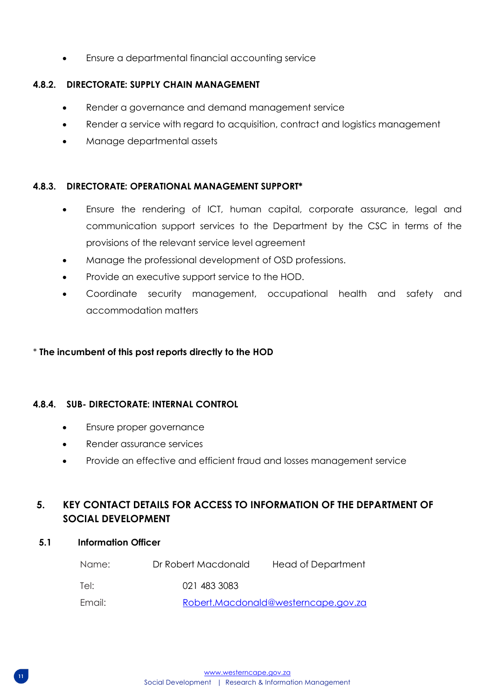• Ensure a departmental financial accounting service

## **4.8.2. DIRECTORATE: SUPPLY CHAIN MANAGEMENT**

- Render a governance and demand management service
- Render a service with regard to acquisition, contract and logistics management
- Manage departmental assets

## **4.8.3. DIRECTORATE: OPERATIONAL MANAGEMENT SUPPORT\***

- Ensure the rendering of ICT, human capital, corporate assurance, legal and communication support services to the Department by the CSC in terms of the provisions of the relevant service level agreement
- Manage the professional development of OSD professions.
- Provide an executive support service to the HOD.
- Coordinate security management, occupational health and safety and accommodation matters

## \* **The incumbent of this post reports directly to the HOD**

### **4.8.4. SUB- DIRECTORATE: INTERNAL CONTROL**

- Ensure proper governance
- Render assurance services
- Provide an effective and efficient fraud and losses management service

## <span id="page-10-0"></span>**5. KEY CONTACT DETAILS FOR ACCESS TO INFORMATION OF THE DEPARTMENT OF SOCIAL DEVELOPMENT**

## **5.1 Information Officer**

| Name:  | Dr Robert Macdonald | Head of Department                  |
|--------|---------------------|-------------------------------------|
| Tel:   | 021 483 3083        |                                     |
| Email: |                     | Robert.Macdonald@westerncape.gov.za |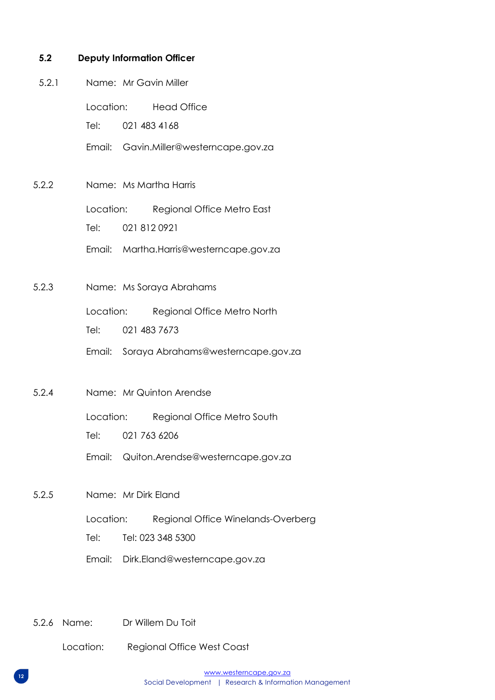#### **5.2 Deputy Information Officer**

- 5.2.1 Name: Mr Gavin Miller
	- Location: Head Office

Tel: 021 483 4168

- Email: Gavin.Miller@westerncape.gov.za
- 5.2.2 Name: Ms Martha Harris

Location: Regional Office Metro East

Tel: 021 812 0921

Email: Martha.Harris@westerncape.gov.za

5.2.3 Name: Ms Soraya Abrahams

Location: Regional Office Metro North

Tel: 021 483 7673

- Email: Soraya Abrahams@westerncape.gov.za
- 5.2.4 Name: Mr Quinton Arendse

Location: Regional Office Metro South

Tel: 021 763 6206

Email: Quiton.Arendse@westerncape.gov.za

- 5.2.5 Name: Mr Dirk Eland
	- Location: Regional Office Winelands-Overberg

Tel: Tel: 023 348 5300

- Email: Dirk.Eland@westerncape.gov.za
- 5.2.6 Name: Dr Willem Du Toit

Location: Regional Office West Coast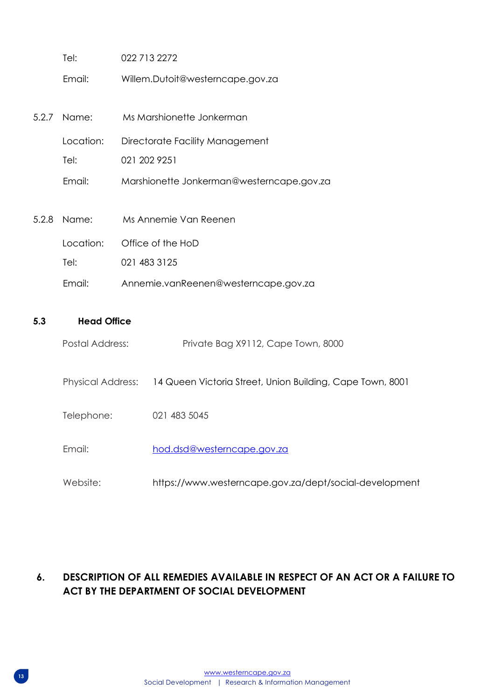| Tel:        | 022 713 2272                              |
|-------------|-------------------------------------------|
| Email:      | Willem.Dutoit@westerncape.gov.za          |
|             |                                           |
| 5.2.7 Name: | Ms Marshionette Jonkerman                 |
| Location:   | Directorate Facility Management           |
| Tel:        | 021 202 9251                              |
| Email:      | Marshionette Jonkerman@westerncape.gov.za |
|             |                                           |
| 5.2.8 Name: | Ms Annemie Van Reenen                     |
| Location:   | Office of the HoD                         |
| Tel:        | 021 483 3125                              |
| Email:      | Annemie.vanReenen@westerncape.gov.za      |

### **5.3 Head Office**

- Physical Address: 14 Queen Victoria Street, Union Building, Cape Town, 8001
- Telephone: 021 483 5045
- Email: hod.dsd@westerncape.gov.za
- Website: https://www.westerncape.gov.za/dept/social-development

## <span id="page-12-0"></span>**6. DESCRIPTION OF ALL REMEDIES AVAILABLE IN RESPECT OF AN ACT OR A FAILURE TO ACT BY THE DEPARTMENT OF SOCIAL DEVELOPMENT**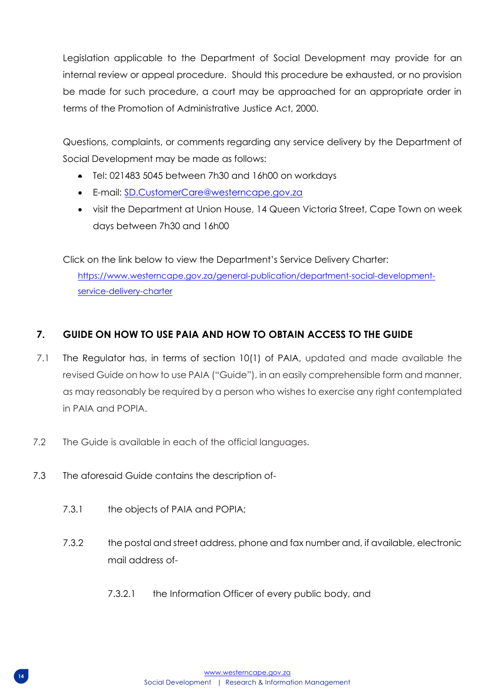Legislation applicable to the Department of Social Development may provide for an internal review or appeal procedure. Should this procedure be exhausted, or no provision be made for such procedure, a court may be approached for an appropriate order in terms of the Promotion of Administrative Justice Act, 2000.

Questions, complaints, or comments regarding any service delivery by the Department of Social Development may be made as follows:

- Tel: 021483 5045 between 7h30 and 16h00 on workdays
- E-mail: [SD.CustomerCare@westerncape.gov.za](mailto:SD.CustomerCare@westerncape.gov.za)
- visit the Department at Union House, 14 Queen Victoria Street, Cape Town on week days between 7h30 and 16h00

Click on the link below to view the Department's Service Delivery Charter: [https://www.westerncape.gov.za/general-publication/department-social-development](https://www.westerncape.gov.za/general-publication/department-social-development-service-delivery-charter)[service-delivery-charter](https://www.westerncape.gov.za/general-publication/department-social-development-service-delivery-charter)

## <span id="page-13-0"></span>**7. GUIDE ON HOW TO USE PAIA AND HOW TO OBTAIN ACCESS TO THE GUIDE**

- 7.1 The Regulator has, in terms of section 10(1) of PAIA, updated and made available the revised Guide on how to use PAIA ("Guide"), in an easily comprehensible form and manner, as may reasonably be required by a person who wishes to exercise any right contemplated in PAIA and POPIA.
- 7.2 The Guide is available in each of the official languages.
- 7.3 The aforesaid Guide contains the description of-
	- 7.3.1 the objects of PAIA and POPIA;
	- 7.3.2 the postal and street address, phone and fax number and, if available, electronic mail address of-
		- 7.3.2.1 the Information Officer of every public body, and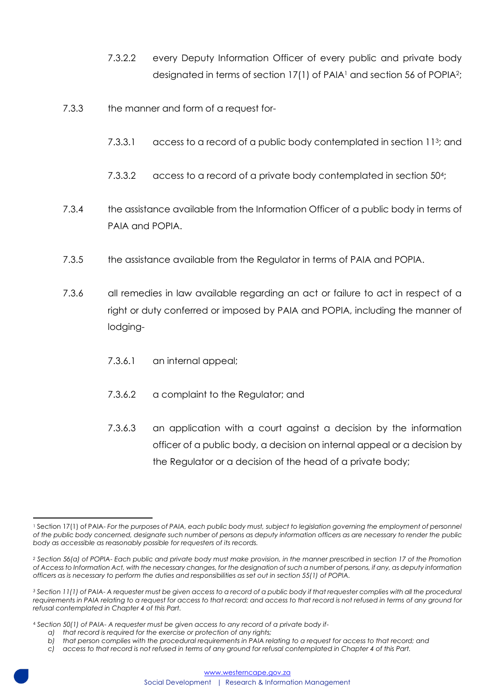- 7.3.2.2 every Deputy Information Officer of every public and private body designated in terms of section 17(1) of PAIA<sup>1</sup> and section 56 of POPIA<sup>2</sup>;
- 7.3.3 the manner and form of a request for-
	- 7.3.3.1 access to a record of a public body contemplated in section 11<sup>3</sup>; and
	- 7.3.3.2 access to a record of a private body contemplated in section 50<sup>4</sup> ;
- 7.3.4 the assistance available from the Information Officer of a public body in terms of PAIA and POPIA.
- 7.3.5 the assistance available from the Regulator in terms of PAIA and POPIA.
- 7.3.6 all remedies in law available regarding an act or failure to act in respect of a right or duty conferred or imposed by PAIA and POPIA, including the manner of lodging-
	- 7.3.6.1 an internal appeal;
	- 7.3.6.2 a complaint to the Regulator; and
	- 7.3.6.3 an application with a court against a decision by the information officer of a public body, a decision on internal appeal or a decision by the Regulator or a decision of the head of a private body;

<sup>&</sup>lt;sup>1</sup> Section 17(1) of PAIA- For the purposes of PAIA, each public body must, subject to legislation governing the employment of personnel *of the public body concerned, designate such number of persons as deputy information officers as are necessary to render the public body as accessible as reasonably possible for requesters of its records.* 

*<sup>2</sup> Section 56(a) of POPIA- Each public and private body must make provision, in the manner prescribed in section 17 of the Promotion of Access to Information Act, with the necessary changes, for the designation of such a number of persons, if any, as deputy information officers as is necessary to perform the duties and responsibilities as set out in section 55(1) of POPIA.*

*<sup>3</sup> Section 11(1) of PAIA- A requester must be given access to a record of a public body if that requester complies with all the procedural requirements in PAIA relating to a request for access to that record; and access to that record is not refused in terms of any ground for refusal contemplated in Chapter 4 of this Part.*

<sup>4</sup> *Section 50(1) of PAIA- A requester must be given access to any record of a private body if-*

*a) that record is required for the exercise or protection of any rights;*

*b) that person complies with the procedural requirements in PAIA relating to a request for access to that record; and*

*c) access to that record is not refused in terms of any ground for refusal contemplated in Chapter 4 of this Part.*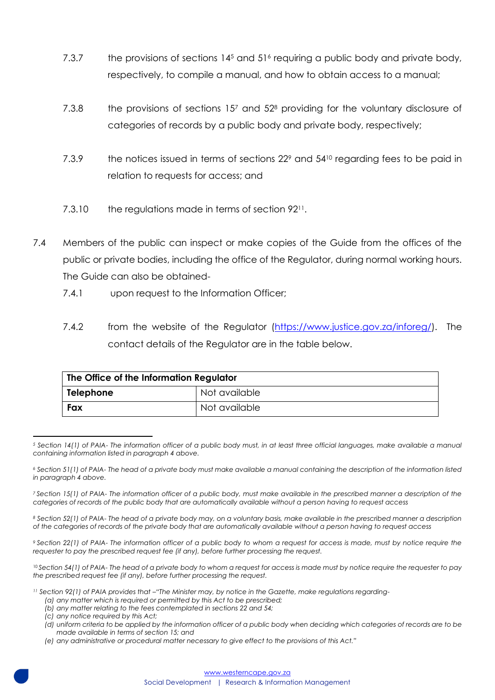- 7.3.7 the provisions of sections  $14<sup>5</sup>$  and  $51<sup>6</sup>$  requiring a public body and private body, respectively, to compile a manual, and how to obtain access to a manual;
- 7.3.8 the provisions of sections 157 and 52<sup>8</sup> providing for the voluntary disclosure of categories of records by a public body and private body, respectively;
- 7.3.9 the notices issued in terms of sections 22<sup>9</sup> and 54<sup>10</sup> regarding fees to be paid in relation to requests for access; and
- 7.3.10 the regulations made in terms of section 92<sup>11</sup>.
- 7.4 Members of the public can inspect or make copies of the Guide from the offices of the public or private bodies, including the office of the Regulator, during normal working hours. The Guide can also be obtained-
	- 7.4.1 upon request to the Information Officer;
	- 7.4.2 from the website of the Regulator [\(https://www.justice.gov.za/inforeg/\)](https://www.justice.gov.za/inforeg/). The contact details of the Regulator are in the table below.

| The Office of the Information Regulator |               |  |
|-----------------------------------------|---------------|--|
| Telephone                               | Not available |  |
| Fax                                     | Not available |  |

*<sup>5</sup> Section 14(1) of PAIA- The information officer of a public body must, in at least three official languages, make available a manual containing information listed in paragraph 4 above.*

*<sup>7</sup> Section 15(1) of PAIA- The information officer of a public body, must make available in the prescribed manner a description of the categories of records of the public body that are automatically available without a person having to request access*

*<sup>8</sup> Section 52(1) of PAIA- The head of a private body may, on a voluntary basis, make available in the prescribed manner a description of the categories of records of the private body that are automatically available without a person having to request access*

*<sup>9</sup> Section 22(1) of PAIA- The information officer of a public body to whom a request for access is made, must by notice require the requester to pay the prescribed request fee (if any), before further processing the request.*

<sup>10</sup> *Section 54(1) of PAIA- The head of a private body to whom a request for access is made must by notice require the requester to pay the prescribed request fee (if any), before further processing the request.*

<sup>11</sup> Section 92(1) of PAIA provides that <sup>-</sup>"The Minister may, by notice in the Gazette, make regulations regarding-

- *(a) any matter which is required or permitted by this Act to be prescribed;*
- *(b) any matter relating to the fees contemplated in sections 22 and 54;*
- *(c) any notice required by this Act;*
- *(d) uniform criteria to be applied by the information officer of a public body when deciding which categories of records are to be made available in terms of section 15; and*
- *(e) any administrative or procedural matter necessary to give effect to the provisions of this Act."*

*<sup>6</sup> Section 51(1) of PAIA- The head of a private body must make available a manual containing the description of the information listed in paragraph 4 above.*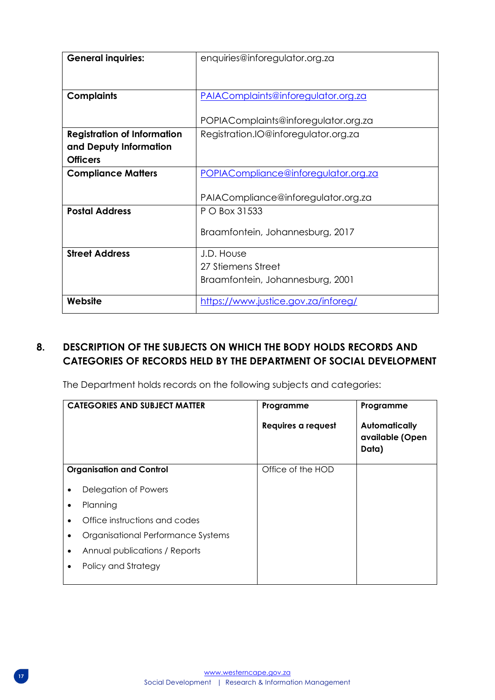| <b>General inquiries:</b>          | enquiries@inforegulator.org.za       |
|------------------------------------|--------------------------------------|
|                                    |                                      |
| <b>Complaints</b>                  | PAIAComplaints@inforegulator.org.za  |
|                                    | POPIAComplaints@inforegulator.org.za |
| <b>Registration of Information</b> | Registration.IO@inforegulator.org.za |
| and Deputy Information             |                                      |
| <b>Officers</b>                    |                                      |
| <b>Compliance Matters</b>          | POPIACompliance@inforegulator.org.za |
|                                    | PAIACompliance@inforegulator.org.za  |
| <b>Postal Address</b>              | P O Box 31533                        |
|                                    | Braamfontein, Johannesburg, 2017     |
| <b>Street Address</b>              | J.D. House                           |
|                                    | 27 Stiemens Street                   |
|                                    | Braamfontein, Johannesburg, 2001     |
| Website                            | https://www.justice.gov.za/inforeg/  |

## <span id="page-16-0"></span>**8. DESCRIPTION OF THE SUBJECTS ON WHICH THE BODY HOLDS RECORDS AND CATEGORIES OF RECORDS HELD BY THE DEPARTMENT OF SOCIAL DEVELOPMENT**

The Department holds records on the following subjects and categories:

|   | <b>CATEGORIES AND SUBJECT MATTER</b> | Programme          | Programme                                        |
|---|--------------------------------------|--------------------|--------------------------------------------------|
|   |                                      | Requires a request | <b>Automatically</b><br>available (Open<br>Data) |
|   | <b>Organisation and Control</b>      | Office of the HOD  |                                                  |
| ٠ | Delegation of Powers                 |                    |                                                  |
| ٠ | Planning                             |                    |                                                  |
| ٠ | Office instructions and codes        |                    |                                                  |
|   | Organisational Performance Systems   |                    |                                                  |
| ٠ | Annual publications / Reports        |                    |                                                  |
|   | Policy and Strategy                  |                    |                                                  |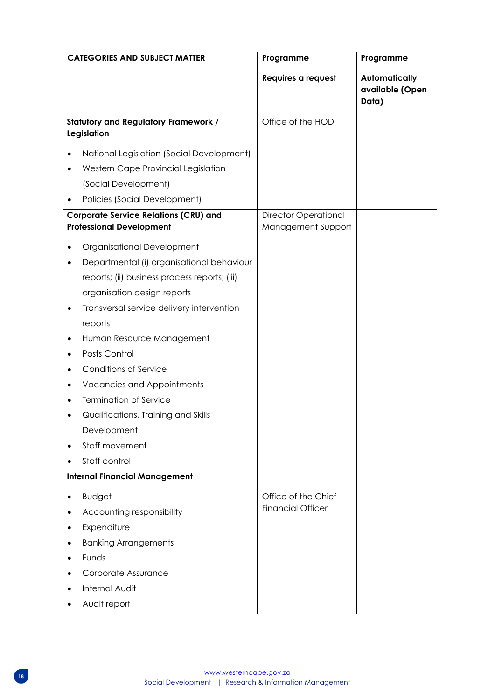| <b>CATEGORIES AND SUBJECT MATTER</b> |                                                                                 | Programme                                         | Programme                                        |
|--------------------------------------|---------------------------------------------------------------------------------|---------------------------------------------------|--------------------------------------------------|
|                                      |                                                                                 | Requires a request                                | <b>Automatically</b><br>available (Open<br>Data) |
|                                      | <b>Statutory and Regulatory Framework /</b><br>Legislation                      | Office of the HOD                                 |                                                  |
|                                      | National Legislation (Social Development)                                       |                                                   |                                                  |
|                                      | Western Cape Provincial Legislation                                             |                                                   |                                                  |
|                                      | (Social Development)                                                            |                                                   |                                                  |
|                                      | Policies (Social Development)                                                   |                                                   |                                                  |
|                                      | <b>Corporate Service Relations (CRU) and</b><br><b>Professional Development</b> | <b>Director Operational</b><br>Management Support |                                                  |
|                                      | Organisational Development                                                      |                                                   |                                                  |
| ٠                                    | Departmental (i) organisational behaviour                                       |                                                   |                                                  |
|                                      | reports; (ii) business process reports; (iii)                                   |                                                   |                                                  |
|                                      | organisation design reports                                                     |                                                   |                                                  |
| ٠                                    | Transversal service delivery intervention                                       |                                                   |                                                  |
|                                      | reports                                                                         |                                                   |                                                  |
| ٠                                    | Human Resource Management                                                       |                                                   |                                                  |
|                                      | Posts Control                                                                   |                                                   |                                                  |
|                                      | <b>Conditions of Service</b>                                                    |                                                   |                                                  |
|                                      | Vacancies and Appointments                                                      |                                                   |                                                  |
| ٠                                    | <b>Termination of Service</b>                                                   |                                                   |                                                  |
|                                      | Qualifications, Training and Skills                                             |                                                   |                                                  |
|                                      | Development                                                                     |                                                   |                                                  |
|                                      | Staff movement                                                                  |                                                   |                                                  |
|                                      | Staff control                                                                   |                                                   |                                                  |
|                                      | <b>Internal Financial Management</b>                                            |                                                   |                                                  |
| ٠                                    | <b>Budget</b>                                                                   | Office of the Chief                               |                                                  |
|                                      | Accounting responsibility                                                       | <b>Financial Officer</b>                          |                                                  |
|                                      | Expenditure                                                                     |                                                   |                                                  |
|                                      | <b>Banking Arrangements</b>                                                     |                                                   |                                                  |
|                                      | Funds                                                                           |                                                   |                                                  |
|                                      | Corporate Assurance                                                             |                                                   |                                                  |
|                                      | <b>Internal Audit</b>                                                           |                                                   |                                                  |
|                                      | Audit report                                                                    |                                                   |                                                  |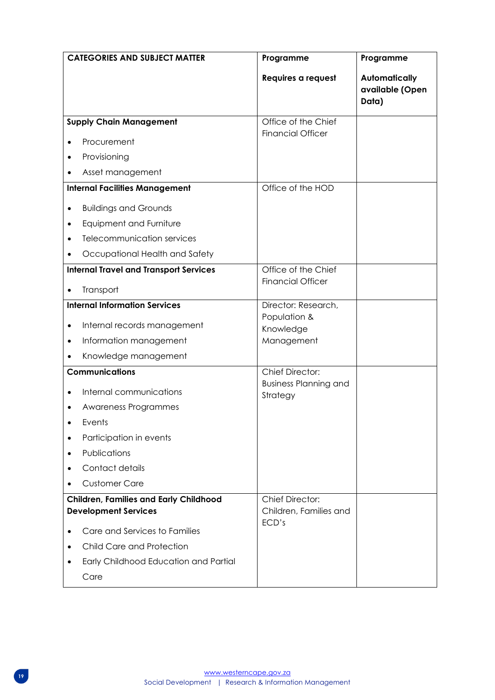| <b>CATEGORIES AND SUBJECT MATTER</b>                                         | Programme                                              | Programme                                        |
|------------------------------------------------------------------------------|--------------------------------------------------------|--------------------------------------------------|
|                                                                              | Requires a request                                     | <b>Automatically</b><br>available (Open<br>Data) |
| <b>Supply Chain Management</b>                                               | Office of the Chief                                    |                                                  |
| Procurement                                                                  | <b>Financial Officer</b>                               |                                                  |
| Provisioning                                                                 |                                                        |                                                  |
| Asset management                                                             |                                                        |                                                  |
| <b>Internal Facilities Management</b>                                        | Office of the HOD                                      |                                                  |
| <b>Buildings and Grounds</b>                                                 |                                                        |                                                  |
| Equipment and Furniture<br>$\bullet$                                         |                                                        |                                                  |
| Telecommunication services                                                   |                                                        |                                                  |
| Occupational Health and Safety                                               |                                                        |                                                  |
| <b>Internal Travel and Transport Services</b>                                | Office of the Chief                                    |                                                  |
| Transport                                                                    | <b>Financial Officer</b>                               |                                                  |
| <b>Internal Information Services</b>                                         | Director: Research,                                    |                                                  |
|                                                                              | Population &                                           |                                                  |
| Internal records management<br>$\bullet$                                     | Knowledge                                              |                                                  |
| Information management<br>$\bullet$                                          | Management                                             |                                                  |
| Knowledge management                                                         |                                                        |                                                  |
| <b>Communications</b>                                                        | <b>Chief Director:</b><br><b>Business Planning and</b> |                                                  |
| Internal communications                                                      | Strategy                                               |                                                  |
| Awareness Programmes                                                         |                                                        |                                                  |
| Events                                                                       |                                                        |                                                  |
| Participation in events                                                      |                                                        |                                                  |
| Publications                                                                 |                                                        |                                                  |
| Contact details                                                              |                                                        |                                                  |
| <b>Customer Care</b>                                                         |                                                        |                                                  |
| <b>Children, Families and Early Childhood</b><br><b>Development Services</b> | <b>Chief Director:</b><br>Children, Families and       |                                                  |
| Care and Services to Families                                                | ECD's                                                  |                                                  |
| Child Care and Protection                                                    |                                                        |                                                  |
| Early Childhood Education and Partial                                        |                                                        |                                                  |
| Care                                                                         |                                                        |                                                  |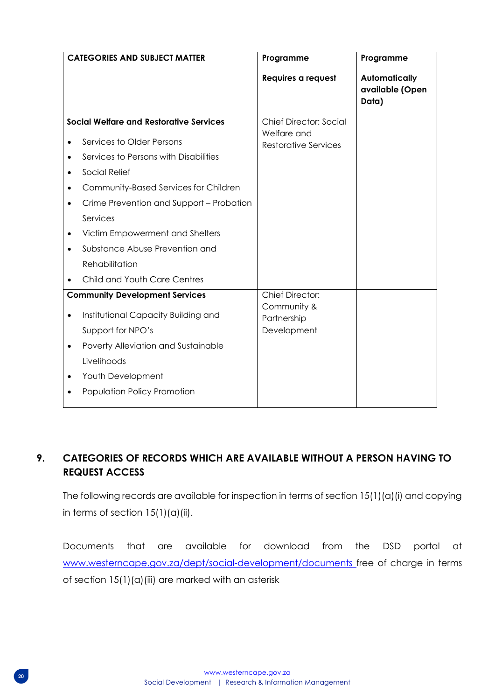|           | <b>CATEGORIES AND SUBJECT MATTER</b>           | Programme                                    | Programme                                        |
|-----------|------------------------------------------------|----------------------------------------------|--------------------------------------------------|
|           |                                                | Requires a request                           | <b>Automatically</b><br>available (Open<br>Data) |
|           | <b>Social Welfare and Restorative Services</b> | <b>Chief Director: Social</b><br>Welfare and |                                                  |
|           | Services to Older Persons                      | <b>Restorative Services</b>                  |                                                  |
| $\bullet$ | Services to Persons with Disabilities          |                                              |                                                  |
|           | Social Relief                                  |                                              |                                                  |
|           | Community-Based Services for Children          |                                              |                                                  |
|           | Crime Prevention and Support - Probation       |                                              |                                                  |
|           | Services                                       |                                              |                                                  |
|           | Victim Empowerment and Shelters                |                                              |                                                  |
|           | Substance Abuse Prevention and                 |                                              |                                                  |
|           | Rehabilitation                                 |                                              |                                                  |
|           | Child and Youth Care Centres                   |                                              |                                                  |
|           | <b>Community Development Services</b>          | <b>Chief Director:</b>                       |                                                  |
|           | Institutional Capacity Building and            | Community &<br>Partnership                   |                                                  |
|           | Support for NPO's                              | Development                                  |                                                  |
| $\bullet$ | Poverty Alleviation and Sustainable            |                                              |                                                  |
|           | Livelihoods                                    |                                              |                                                  |
|           | Youth Development                              |                                              |                                                  |
|           | Population Policy Promotion                    |                                              |                                                  |
|           |                                                |                                              |                                                  |

## <span id="page-19-0"></span>**9. CATEGORIES OF RECORDS WHICH ARE AVAILABLE WITHOUT A PERSON HAVING TO REQUEST ACCESS**

The following records are available for inspection in terms of section 15(1)(a)(i) and copying in terms of section  $15(1)(a)(ii)$ .

Documents that are available for download from the DSD portal at [www.westerncape.gov.za/dept/social-development/documents](http://www.westerncape.gov.za/dept/social-development/documents) free of charge in terms of section 15(1)(a)(iii) are marked with an asterisk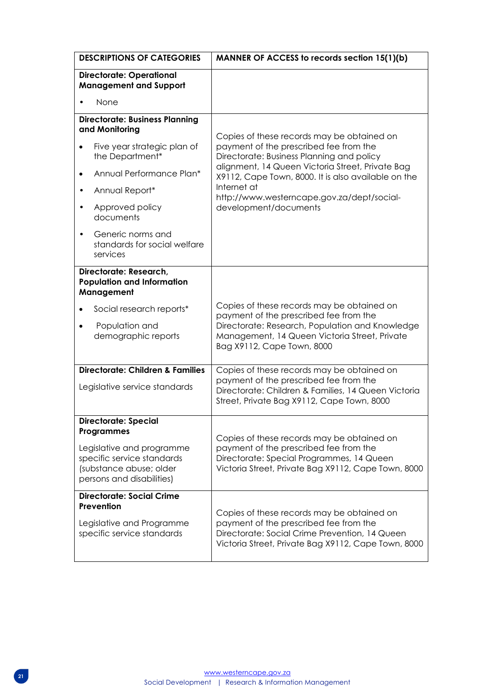| <b>DESCRIPTIONS OF CATEGORIES</b>                                                                                                                                   | MANNER OF ACCESS to records section 15(1)(b)                                                                                                                                                                           |  |
|---------------------------------------------------------------------------------------------------------------------------------------------------------------------|------------------------------------------------------------------------------------------------------------------------------------------------------------------------------------------------------------------------|--|
| <b>Directorate: Operational</b><br><b>Management and Support</b>                                                                                                    |                                                                                                                                                                                                                        |  |
| None                                                                                                                                                                |                                                                                                                                                                                                                        |  |
| <b>Directorate: Business Planning</b><br>and Monitoring                                                                                                             | Copies of these records may be obtained on                                                                                                                                                                             |  |
| Five year strategic plan of<br>the Department*                                                                                                                      | payment of the prescribed fee from the<br>Directorate: Business Planning and policy<br>alignment, 14 Queen Victoria Street, Private Bag                                                                                |  |
| Annual Performance Plan*<br>٠                                                                                                                                       | X9112, Cape Town, 8000. It is also available on the                                                                                                                                                                    |  |
| Annual Report*                                                                                                                                                      | Internet at<br>http://www.westerncape.gov.za/dept/social-                                                                                                                                                              |  |
| Approved policy<br>documents                                                                                                                                        | development/documents                                                                                                                                                                                                  |  |
| Generic norms and<br>standards for social welfare<br>services                                                                                                       |                                                                                                                                                                                                                        |  |
| Directorate: Research,<br><b>Population and Information</b><br>Management                                                                                           |                                                                                                                                                                                                                        |  |
| Social research reports*<br>Population and<br>demographic reports                                                                                                   | Copies of these records may be obtained on<br>payment of the prescribed fee from the<br>Directorate: Research, Population and Knowledge<br>Management, 14 Queen Victoria Street, Private<br>Bag X9112, Cape Town, 8000 |  |
| <b>Directorate: Children &amp; Families</b><br>Legislative service standards                                                                                        | Copies of these records may be obtained on<br>payment of the prescribed fee from the<br>Directorate: Children & Families, 14 Queen Victoria<br>Street, Private Bag X9112, Cape Town, 8000                              |  |
| <b>Directorate: Special</b><br><b>Programmes</b><br>Legislative and programme<br>specific service standards<br>(substance abuse; older<br>persons and disabilities) | Copies of these records may be obtained on<br>payment of the prescribed fee from the<br>Directorate: Special Programmes, 14 Queen<br>Victoria Street, Private Bag X9112, Cape Town, 8000                               |  |
| <b>Directorate: Social Crime</b><br>Prevention<br>Legislative and Programme<br>specific service standards                                                           | Copies of these records may be obtained on<br>payment of the prescribed fee from the<br>Directorate: Social Crime Prevention, 14 Queen<br>Victoria Street, Private Bag X9112, Cape Town, 8000                          |  |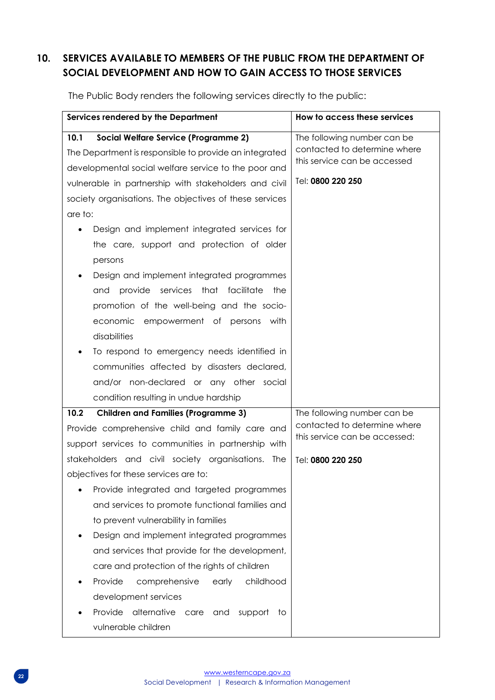## <span id="page-21-0"></span>**10. SERVICES AVAILABLE TO MEMBERS OF THE PUBLIC FROM THE DEPARTMENT OF SOCIAL DEVELOPMENT AND HOW TO GAIN ACCESS TO THOSE SERVICES**

| Services rendered by the Department                     | How to access these services                                  |
|---------------------------------------------------------|---------------------------------------------------------------|
| 10.1<br><b>Social Welfare Service (Programme 2)</b>     | The following number can be                                   |
| The Department is responsible to provide an integrated  | contacted to determine where                                  |
| developmental social welfare service to the poor and    | this service can be accessed                                  |
| vulnerable in partnership with stakeholders and civil   | Tel: 0800 220 250                                             |
| society organisations. The objectives of these services |                                                               |
| are to:                                                 |                                                               |
| Design and implement integrated services for            |                                                               |
| the care, support and protection of older               |                                                               |
| persons                                                 |                                                               |
| Design and implement integrated programmes              |                                                               |
| provide services that facilitate<br>and<br>the          |                                                               |
| promotion of the well-being and the socio-              |                                                               |
| economic empowerment of persons with                    |                                                               |
| disabilities                                            |                                                               |
| To respond to emergency needs identified in             |                                                               |
| communities affected by disasters declared,             |                                                               |
| and/or non-declared or any other social                 |                                                               |
| condition resulting in undue hardship                   |                                                               |
| <b>Children and Families (Programme 3)</b><br>10.2      | The following number can be                                   |
| Provide comprehensive child and family care and         | contacted to determine where<br>this service can be accessed: |
| support services to communities in partnership with     |                                                               |
| stakeholders and civil society organisations. The       | Tel: 0800 220 250                                             |
| objectives for these services are to:                   |                                                               |
| Provide integrated and targeted programmes              |                                                               |
| and services to promote functional families and         |                                                               |
| to prevent vulnerability in families                    |                                                               |
| Design and implement integrated programmes              |                                                               |
| and services that provide for the development,          |                                                               |
| care and protection of the rights of children           |                                                               |
| childhood<br>Provide<br>comprehensive<br>early          |                                                               |
| development services                                    |                                                               |
| alternative<br>Provide<br>support<br>care<br>and<br>to. |                                                               |
| vulnerable children                                     |                                                               |

The Public Body renders the following services directly to the public: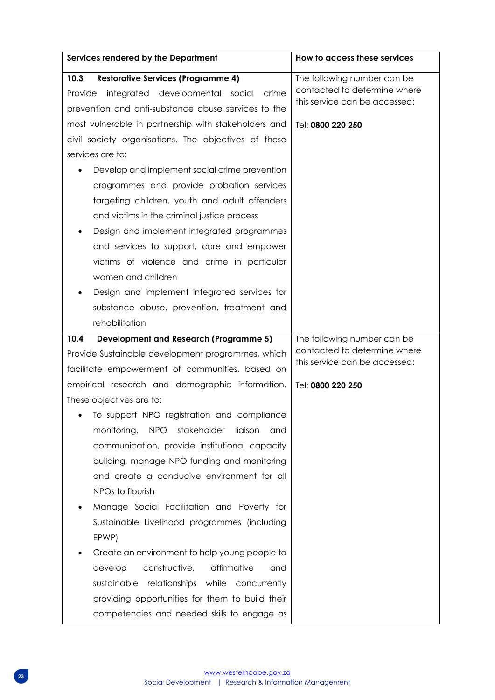| Services rendered by the Department                                                                                                                                                                                                                                                                                                                                                                                                                                                                                                                                                                                                                                                                                                                                         | How to access these services                                                                                      |
|-----------------------------------------------------------------------------------------------------------------------------------------------------------------------------------------------------------------------------------------------------------------------------------------------------------------------------------------------------------------------------------------------------------------------------------------------------------------------------------------------------------------------------------------------------------------------------------------------------------------------------------------------------------------------------------------------------------------------------------------------------------------------------|-------------------------------------------------------------------------------------------------------------------|
| <b>Restorative Services (Programme 4)</b><br>10.3<br>Provide integrated developmental social crime<br>prevention and anti-substance abuse services to the<br>most vulnerable in partnership with stakeholders and<br>civil society organisations. The objectives of these<br>services are to:<br>Develop and implement social crime prevention<br>programmes and provide probation services<br>targeting children, youth and adult offenders<br>and victims in the criminal justice process<br>Design and implement integrated programmes<br>and services to support, care and empower<br>victims of violence and crime in particular<br>women and children<br>Design and implement integrated services for<br>substance abuse, prevention, treatment and<br>rehabilitation | The following number can be<br>contacted to determine where<br>this service can be accessed:<br>Tel: 0800 220 250 |
| 10.4<br><b>Development and Research (Programme 5)</b><br>Provide Sustainable development programmes, which<br>facilitate empowerment of communities, based on<br>empirical research and demographic information.<br>These objectives are to:<br>To support NPO registration and compliance<br><b>NPO</b><br>stakeholder<br>monitoring,<br>liaison<br>and<br>communication, provide institutional capacity<br>building, manage NPO funding and monitoring<br>and create a conducive environment for all                                                                                                                                                                                                                                                                      | The following number can be<br>contacted to determine where<br>this service can be accessed:<br>Tel: 0800 220 250 |
| NPOs to flourish<br>Manage Social Facilitation and Poverty for<br>Sustainable Livelihood programmes (including<br>EPWP)<br>Create an environment to help young people to<br>constructive,<br>affirmative<br>develop<br>and<br>relationships while concurrently<br>sustainable<br>providing opportunities for them to build their<br>competencies and needed skills to engage as                                                                                                                                                                                                                                                                                                                                                                                             |                                                                                                                   |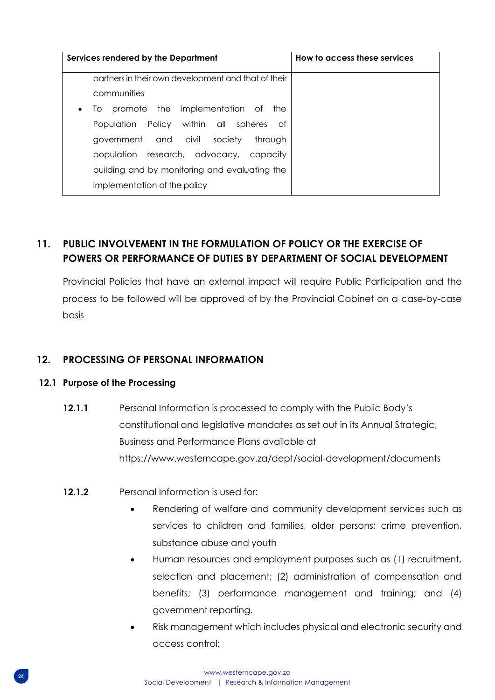| Services rendered by the Department                     | How to access these services |
|---------------------------------------------------------|------------------------------|
| partners in their own development and that of their     |                              |
| communities                                             |                              |
| promote the implementation of<br>the<br>10<br>$\bullet$ |                              |
| Population Policy within all spheres<br>Οf              |                              |
| government and civil society<br>throuah                 |                              |
| population research, advocacy,<br>capacity              |                              |
| building and by monitoring and evaluating the           |                              |
| implementation of the policy                            |                              |

## <span id="page-23-0"></span>**11. PUBLIC INVOLVEMENT IN THE FORMULATION OF POLICY OR THE EXERCISE OF POWERS OR PERFORMANCE OF DUTIES BY DEPARTMENT OF SOCIAL DEVELOPMENT**

Provincial Policies that have an external impact will require Public Participation and the process to be followed will be approved of by the Provincial Cabinet on a case-by-case basis

## <span id="page-23-1"></span>**12. PROCESSING OF PERSONAL INFORMATION**

### **12.1 Purpose of the Processing**

- **12.1.1** Personal Information is processed to comply with the Public Body's constitutional and legislative mandates as set out in its Annual Strategic, Business and Performance Plans available at https://www.westerncape.gov.za/dept/social-development/documents
- **12.1.2** Personal Information is used for:
	- Rendering of welfare and community development services such as services to children and families, older persons; crime prevention, substance abuse and youth
	- Human resources and employment purposes such as (1) recruitment, selection and placement; (2) administration of compensation and benefits; (3) performance management and training; and (4) government reporting.
	- Risk management which includes physical and electronic security and access control;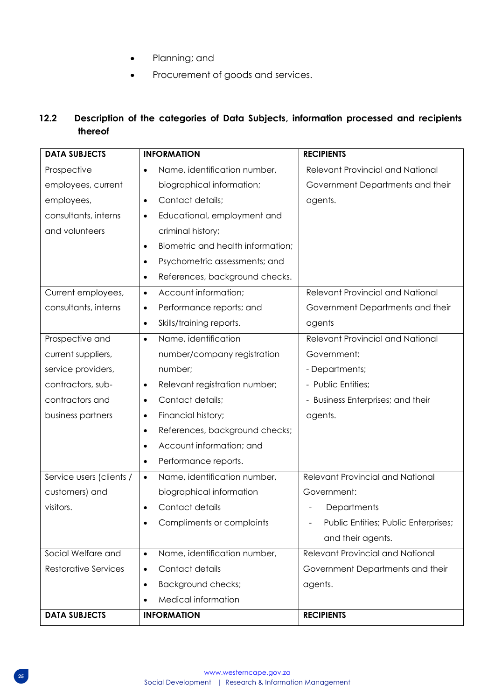- Planning; and
- Procurement of goods and services.

## **12.2 Description of the categories of Data Subjects, information processed and recipients thereof**

| <b>DATA SUBJECTS</b>        | <b>INFORMATION</b>                             | <b>RECIPIENTS</b>                       |
|-----------------------------|------------------------------------------------|-----------------------------------------|
| Prospective                 | Name, identification number,<br>$\bullet$      | <b>Relevant Provincial and National</b> |
| employees, current          | biographical information;                      | Government Departments and their        |
| employees,                  | Contact details;<br>$\bullet$                  | agents.                                 |
| consultants, interns        | Educational, employment and<br>$\bullet$       |                                         |
| and volunteers              | criminal history;                              |                                         |
|                             | Biometric and health information;<br>$\bullet$ |                                         |
|                             | Psychometric assessments; and                  |                                         |
|                             | References, background checks.<br>$\bullet$    |                                         |
| Current employees,          | Account information;<br>$\bullet$              | <b>Relevant Provincial and National</b> |
| consultants, interns        | Performance reports; and<br>$\bullet$          | Government Departments and their        |
|                             | Skills/training reports.<br>$\bullet$          | agents                                  |
| Prospective and             | Name, identification<br>$\bullet$              | <b>Relevant Provincial and National</b> |
| current suppliers,          | number/company registration                    | Government:                             |
| service providers,          | number;                                        | - Departments;                          |
| contractors, sub-           | Relevant registration number;<br>$\bullet$     | - Public Entities;                      |
| contractors and             | Contact details;<br>$\bullet$                  | - Business Enterprises; and their       |
| business partners           | Financial history;<br>$\bullet$                | agents.                                 |
|                             | References, background checks;<br>$\bullet$    |                                         |
|                             | Account information; and                       |                                         |
|                             | Performance reports.<br>$\bullet$              |                                         |
| Service users (clients /    | Name, identification number,<br>$\bullet$      | <b>Relevant Provincial and National</b> |
| customers) and              | biographical information                       | Government:                             |
| visitors.                   | Contact details<br>$\bullet$                   | Departments                             |
|                             | Compliments or complaints                      | Public Entities; Public Enterprises;    |
|                             |                                                | and their agents.                       |
| Social Welfare and          | Name, identification number,<br>$\bullet$      | <b>Relevant Provincial and National</b> |
| <b>Restorative Services</b> | Contact details<br>٠                           | Government Departments and their        |
|                             | Background checks;<br>$\bullet$                | agents.                                 |
|                             | Medical information<br>$\bullet$               |                                         |
| <b>DATA SUBJECTS</b>        | <b>INFORMATION</b>                             | <b>RECIPIENTS</b>                       |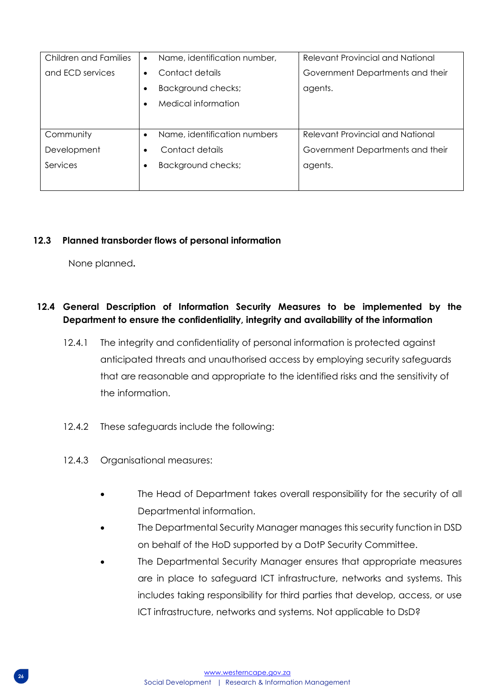| Children and Families | $\bullet$ | Name, identification number, | <b>Relevant Provincial and National</b> |
|-----------------------|-----------|------------------------------|-----------------------------------------|
| and ECD services      | ٠         | Contact details              | Government Departments and their        |
|                       |           | Background checks;           | agents.                                 |
|                       | ٠         | Medical information          |                                         |
|                       |           |                              |                                         |
| Community             | $\bullet$ | Name, identification numbers | Relevant Provincial and National        |
| Development           | ٠         | Contact details              | Government Departments and their        |
| Services              |           | Background checks;           | agents.                                 |
|                       |           |                              |                                         |

## **12.3 Planned transborder flows of personal information**

None planned**.** 

## **12.4 General Description of Information Security Measures to be implemented by the Department to ensure the confidentiality, integrity and availability of the information**

- 12.4.1 The integrity and confidentiality of personal information is protected against anticipated threats and unauthorised access by employing security safeguards that are reasonable and appropriate to the identified risks and the sensitivity of the information.
- 12.4.2 These safeguards include the following:
- 12.4.3 Organisational measures:
	- The Head of Department takes overall responsibility for the security of all Departmental information.
	- The Departmental Security Manager manages this security function in DSD on behalf of the HoD supported by a DotP Security Committee.
	- The Departmental Security Manager ensures that appropriate measures are in place to safeguard ICT infrastructure, networks and systems. This includes taking responsibility for third parties that develop, access, or use ICT infrastructure, networks and systems. Not applicable to DsD?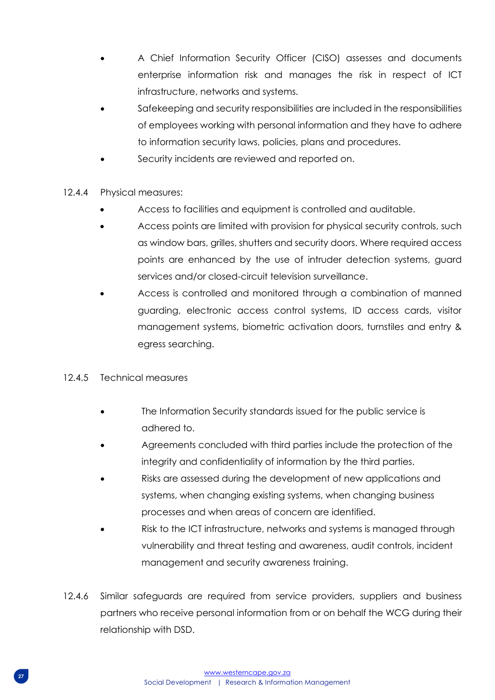- A Chief Information Security Officer (CISO) assesses and documents enterprise information risk and manages the risk in respect of ICT infrastructure, networks and systems.
- Safekeeping and security responsibilities are included in the responsibilities of employees working with personal information and they have to adhere to information security laws, policies, plans and procedures.
- Security incidents are reviewed and reported on.
- 12.4.4 Physical measures:
	- Access to facilities and equipment is controlled and auditable.
	- Access points are limited with provision for physical security controls, such as window bars, grilles, shutters and security doors. Where required access points are enhanced by the use of intruder detection systems, guard services and/or closed-circuit television surveillance.
	- Access is controlled and monitored through a combination of manned guarding, electronic access control systems, ID access cards, visitor management systems, biometric activation doors, turnstiles and entry & egress searching.

### 12.4.5 Technical measures

- The Information Security standards issued for the public service is adhered to.
- Agreements concluded with third parties include the protection of the integrity and confidentiality of information by the third parties.
- Risks are assessed during the development of new applications and systems, when changing existing systems, when changing business processes and when areas of concern are identified.
- Risk to the ICT infrastructure, networks and systems is managed through vulnerability and threat testing and awareness, audit controls, incident management and security awareness training.
- 12.4.6 Similar safeguards are required from service providers, suppliers and business partners who receive personal information from or on behalf the WCG during their relationship with DSD.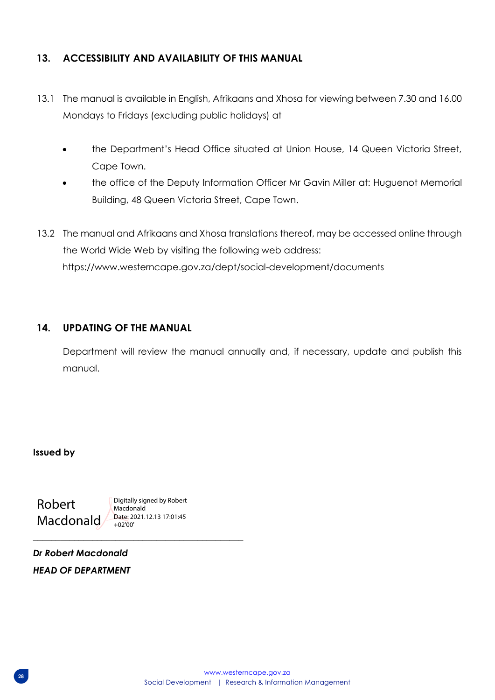## <span id="page-27-0"></span>**13. ACCESSIBILITY AND AVAILABILITY OF THIS MANUAL**

- 13.1 The manual is available in English, Afrikaans and Xhosa for viewing between 7.30 and 16.00 Mondays to Fridays (excluding public holidays) at
	- the Department's Head Office situated at Union House, 14 Queen Victoria Street, Cape Town.
	- the office of the Deputy Information Officer Mr Gavin Miller at: Huguenot Memorial Building, 48 Queen Victoria Street, Cape Town.
- 13.2 The manual and Afrikaans and Xhosa translations thereof, may be accessed online through the World Wide Web by visiting the following web address: https://www.westerncape.gov.za/dept/social-development/documents

## <span id="page-27-1"></span>**14. UPDATING OF THE MANUAL**

Department will review the manual annually and, if necessary, update and publish this manual.

**Issued by**

Robert Macdonald

Digitally signed by Robert Macdonald Date: 2021.12.13 17:01:45 +02'00'

*\_\_\_\_\_\_\_\_\_\_\_\_\_\_\_\_\_\_\_\_\_\_\_\_\_\_\_\_\_\_\_\_\_\_\_\_\_\_\_\_\_\_\_\_\_\_*

*Dr Robert Macdonald HEAD OF DEPARTMENT*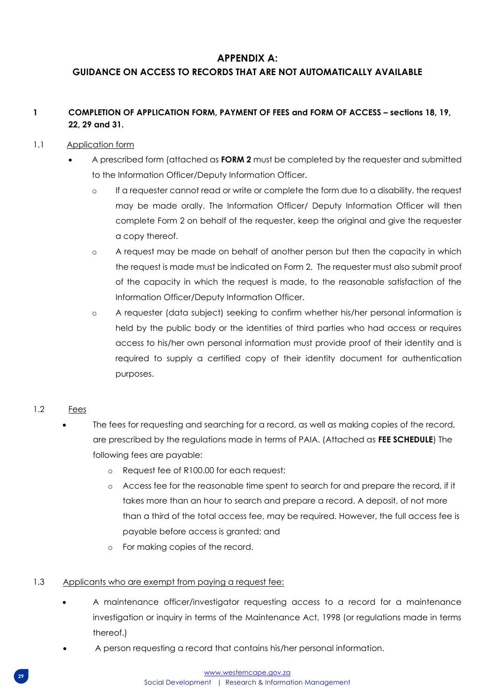## **APPENDIX A:**

## <span id="page-28-0"></span>**GUIDANCE ON ACCESS TO RECORDS THAT ARE NOT AUTOMATICALLY AVAILABLE**

#### **1 COMPLETION OF APPLICATION FORM, PAYMENT OF FEES and FORM OF ACCESS – sections 18, 19, 22, 29 and 31.**

#### 1.1 Application form

- A prescribed form (attached as **FORM 2** must be completed by the requester and submitted to the Information Officer/Deputy Information Officer.
	- o If a requester cannot read or write or complete the form due to a disability, the request may be made orally. The Information Officer/ Deputy Information Officer will then complete Form 2 on behalf of the requester, keep the original and give the requester a copy thereof.
	- o A request may be made on behalf of another person but then the capacity in which the request is made must be indicated on Form 2. The requester must also submit proof of the capacity in which the request is made, to the reasonable satisfaction of the Information Officer/Deputy Information Officer.
	- o A requester (data subject) seeking to confirm whether his/her personal information is held by the public body or the identities of third parties who had access or requires access to his/her own personal information must provide proof of their identity and is required to supply a certified copy of their identity document for authentication purposes.

#### 1.2 Fees

- The fees for requesting and searching for a record, as well as making copies of the record, are prescribed by the regulations made in terms of PAIA. (Attached as **FEE SCHEDULE**) The following fees are payable:
	- o Request fee of R100.00 for each request;
	- o Access fee for the reasonable time spent to search for and prepare the record, if it takes more than an hour to search and prepare a record. A deposit, of not more than a third of the total access fee, may be required. However, the full access fee is payable before access is granted; and
	- o For making copies of the record.

#### 1.3 Applicants who are exempt from paying a request fee:

- A maintenance officer/investigator requesting access to a record for a maintenance investigation or inquiry in terms of the Maintenance Act, 1998 (or regulations made in terms thereof.)
- A person requesting a record that contains his/her personal information.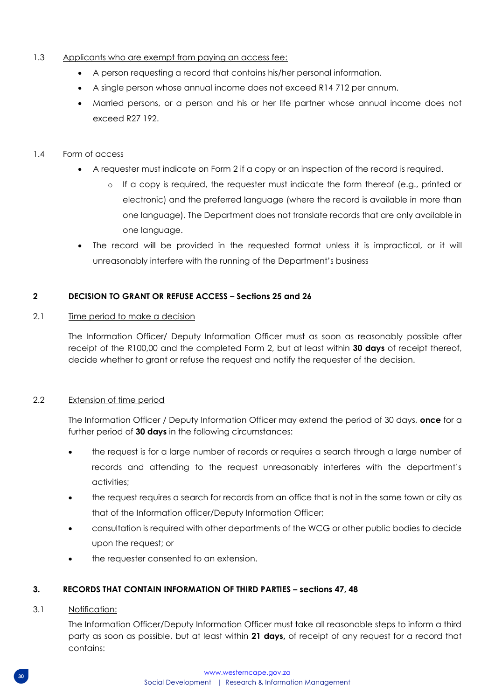#### 1.3 Applicants who are exempt from paying an access fee:

- A person requesting a record that contains his/her personal information.
- A single person whose annual income does not exceed R14 712 per annum.
- Married persons, or a person and his or her life partner whose annual income does not exceed R27 192.

#### 1.4 Form of access

- A requester must indicate on Form 2 if a copy or an inspection of the record is required.
	- o If a copy is required, the requester must indicate the form thereof (e.g., printed or electronic) and the preferred language (where the record is available in more than one language). The Department does not translate records that are only available in one language.
- The record will be provided in the requested format unless it is impractical, or it will unreasonably interfere with the running of the Department's business

#### **2 DECISION TO GRANT OR REFUSE ACCESS – Sections 25 and 26**

#### 2.1 Time period to make a decision

The Information Officer/ Deputy Information Officer must as soon as reasonably possible after receipt of the R100,00 and the completed Form 2, but at least within **30 days** of receipt thereof, decide whether to grant or refuse the request and notify the requester of the decision.

#### 2.2 Extension of time period

The Information Officer / Deputy Information Officer may extend the period of 30 days, **once** for a further period of **30 days** in the following circumstances:

- the request is for a large number of records or requires a search through a large number of records and attending to the request unreasonably interferes with the department's activities;
- the request requires a search for records from an office that is not in the same town or city as that of the Information officer/Deputy Information Officer;
- consultation is required with other departments of the WCG or other public bodies to decide upon the request; or
- the requester consented to an extension.

### **3. RECORDS THAT CONTAIN INFORMATION OF THIRD PARTIES – sections 47, 48**

#### 3.1 Notification:

The Information Officer/Deputy Information Officer must take all reasonable steps to inform a third party as soon as possible, but at least within **21 days,** of receipt of any request for a record that contains: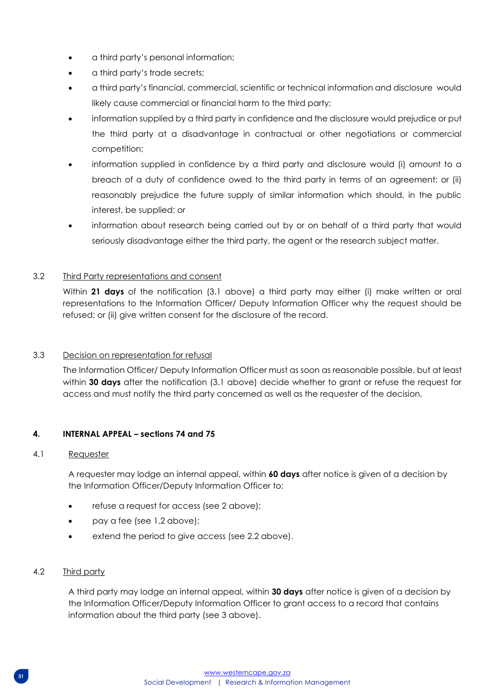- a third party's personal information;
- a third party's trade secrets;
- a third party's financial, commercial, scientific or technical information and disclosure would likely cause commercial or financial harm to the third party;
- information supplied by a third party in confidence and the disclosure would prejudice or put the third party at a disadvantage in contractual or other negotiations or commercial competition;
- information supplied in confidence by a third party and disclosure would (i) amount to a breach of a duty of confidence owed to the third party in terms of an agreement; or (ii) reasonably prejudice the future supply of similar information which should, in the public interest, be supplied; or
- information about research being carried out by or on behalf of a third party that would seriously disadvantage either the third party, the agent or the research subject matter.

#### 3.2 Third Party representations and consent

Within **21 days** of the notification (3.1 above) a third party may either (i) make written or oral representations to the Information Officer/ Deputy Information Officer why the request should be refused; or (ii) give written consent for the disclosure of the record.

#### 3.3 Decision on representation for refusal

The Information Officer/ Deputy Information Officer must as soon as reasonable possible, but at least within **30 days** after the notification (3.1 above) decide whether to grant or refuse the request for access and must notify the third party concerned as well as the requester of the decision.

#### **4. INTERNAL APPEAL – sections 74 and 75**

#### 4.1 Requester

A requester may lodge an internal appeal, within **60 days** after notice is given of a decision by the Information Officer/Deputy Information Officer to:

- refuse a request for access (see 2 above);
- pay a fee (see 1.2 above);
- extend the period to give access (see 2.2 above).

#### 4.2 Third party

A third party may lodge an internal appeal, within **30 days** after notice is given of a decision by the Information Officer/Deputy Information Officer to grant access to a record that contains information about the third party (see 3 above).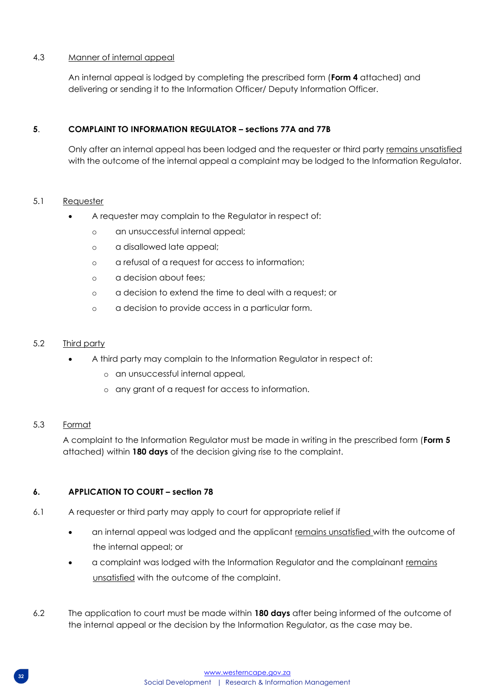#### 4.3 Manner of internal appeal

An internal appeal is lodged by completing the prescribed form (**Form 4** attached) and delivering or sending it to the Information Officer/ Deputy Information Officer.

#### **5**. **COMPLAINT TO INFORMATION REGULATOR – sections 77A and 77B**

Only after an internal appeal has been lodged and the requester or third party remains unsatisfied with the outcome of the internal appeal a complaint may be lodged to the Information Regulator.

#### 5.1 Requester

- A requester may complain to the Regulator in respect of:
	- o an unsuccessful internal appeal;
	- o a disallowed late appeal;
	- o a refusal of a request for access to information;
	- o a decision about fees;
	- o a decision to extend the time to deal with a request; or
	- o a decision to provide access in a particular form.

#### 5.2 Third party

- A third party may complain to the Information Regulator in respect of:
	- o an unsuccessful internal appeal,
	- o any grant of a request for access to information.

#### 5.3 Format

A complaint to the Information Regulator must be made in writing in the prescribed form (**Form 5**  attached) within **180 days** of the decision giving rise to the complaint.

#### **6. APPLICATION TO COURT – section 78**

- 6.1 A requester or third party may apply to court for appropriate relief if
	- an internal appeal was lodged and the applicant remains unsatisfied with the outcome of the internal appeal; or
	- a complaint was lodged with the Information Regulator and the complainant remains unsatisfied with the outcome of the complaint.
- 6.2 The application to court must be made within **180 days** after being informed of the outcome of the internal appeal or the decision by the Information Regulator, as the case may be.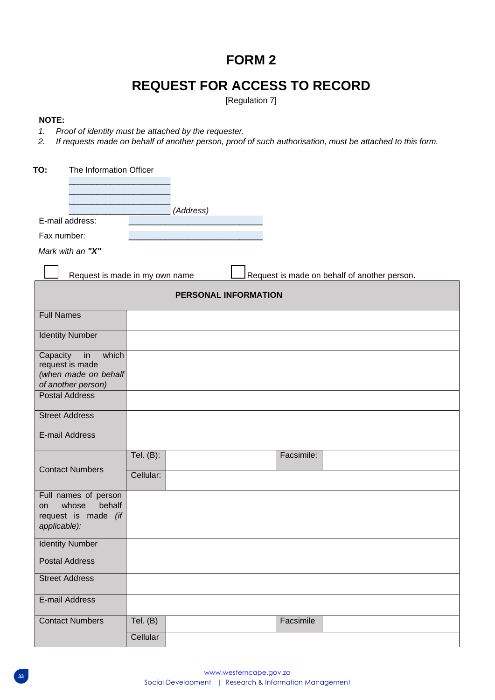# **FORM 2**

# **REQUEST FOR ACCESS TO RECORD**

[Regulation 7]

#### **NOTE:**

- *1. Proof of identity must be attached by the requester.*
- *2. If requests made on behalf of another person, proof of such authorisation, must be attached to this form.*

| TO:<br>The Information Officer                                                       |                                                                                |
|--------------------------------------------------------------------------------------|--------------------------------------------------------------------------------|
|                                                                                      |                                                                                |
|                                                                                      | (Address)                                                                      |
| E-mail address:                                                                      |                                                                                |
| Fax number:                                                                          |                                                                                |
| Mark with an "X"                                                                     |                                                                                |
|                                                                                      | Request is made on behalf of another person.<br>Request is made in my own name |
|                                                                                      | PERSONAL INFORMATION                                                           |
| <b>Full Names</b>                                                                    |                                                                                |
| <b>Identity Number</b>                                                               |                                                                                |
| Capacity<br>in<br>which<br>request is made<br>(when made on behalf                   |                                                                                |
| of another person)<br><b>Postal Address</b>                                          |                                                                                |
|                                                                                      |                                                                                |
| <b>Street Address</b>                                                                |                                                                                |
| E-mail Address                                                                       |                                                                                |
|                                                                                      | Facsimile:<br>Tel. (B):                                                        |
| <b>Contact Numbers</b>                                                               | Cellular:                                                                      |
| Full names of person<br>whose<br>behalf<br>on<br>request is made (if<br>applicable): |                                                                                |
| <b>Identity Number</b>                                                               |                                                                                |
| <b>Postal Address</b>                                                                |                                                                                |
| <b>Street Address</b>                                                                |                                                                                |
| E-mail Address                                                                       |                                                                                |
| <b>Contact Numbers</b>                                                               | Tel. $(B)$<br>Facsimile                                                        |
|                                                                                      | Cellular                                                                       |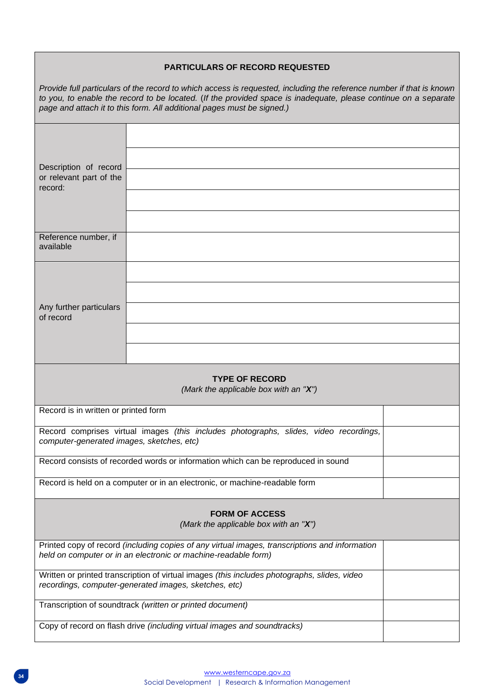#### **PARTICULARS OF RECORD REQUESTED**

*Provide full particulars of the record to which access is requested, including the reference number if that is known to you, to enable the record to be located.* (*If the provided space is inadequate, please continue on a separate page and attach it to this form. All additional pages must be signed.)* 

| Description of record                                                                                                                                 |                                                                                                                                                                  |  |
|-------------------------------------------------------------------------------------------------------------------------------------------------------|------------------------------------------------------------------------------------------------------------------------------------------------------------------|--|
| or relevant part of the<br>record:                                                                                                                    |                                                                                                                                                                  |  |
|                                                                                                                                                       |                                                                                                                                                                  |  |
|                                                                                                                                                       |                                                                                                                                                                  |  |
| Reference number, if<br>available                                                                                                                     |                                                                                                                                                                  |  |
|                                                                                                                                                       |                                                                                                                                                                  |  |
|                                                                                                                                                       |                                                                                                                                                                  |  |
| Any further particulars<br>of record                                                                                                                  |                                                                                                                                                                  |  |
|                                                                                                                                                       |                                                                                                                                                                  |  |
|                                                                                                                                                       |                                                                                                                                                                  |  |
| <b>TYPE OF RECORD</b><br>(Mark the applicable box with an "X")                                                                                        |                                                                                                                                                                  |  |
| Record is in written or printed form                                                                                                                  |                                                                                                                                                                  |  |
| computer-generated images, sketches, etc)                                                                                                             | Record comprises virtual images (this includes photographs, slides, video recordings,                                                                            |  |
|                                                                                                                                                       | Record consists of recorded words or information which can be reproduced in sound                                                                                |  |
| Record is held on a computer or in an electronic, or machine-readable form                                                                            |                                                                                                                                                                  |  |
|                                                                                                                                                       | <b>FORM OF ACCESS</b><br>(Mark the applicable box with an "X")                                                                                                   |  |
|                                                                                                                                                       |                                                                                                                                                                  |  |
|                                                                                                                                                       | Printed copy of record (including copies of any virtual images, transcriptions and information<br>held on computer or in an electronic or machine-readable form) |  |
| Written or printed transcription of virtual images (this includes photographs, slides, video<br>recordings, computer-generated images, sketches, etc) |                                                                                                                                                                  |  |
| Transcription of soundtrack (written or printed document)                                                                                             |                                                                                                                                                                  |  |
|                                                                                                                                                       | Copy of record on flash drive (including virtual images and soundtracks)                                                                                         |  |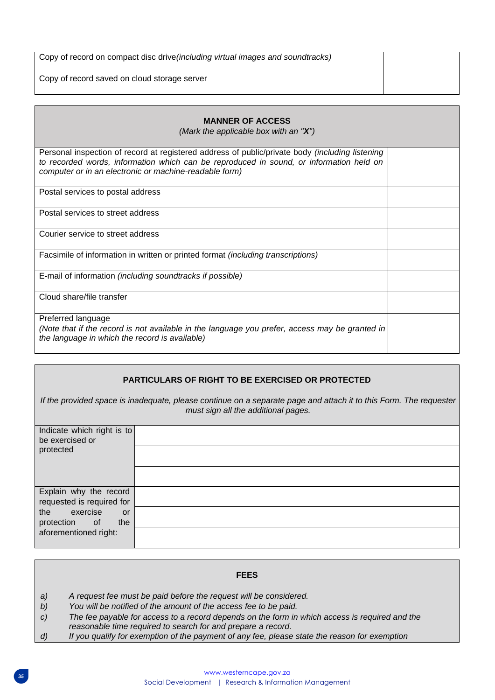| Copy of record on compact disc drive (including virtual images and soundtracks) |  |
|---------------------------------------------------------------------------------|--|
| Copy of record saved on cloud storage server                                    |  |

| <b>MANNER OF ACCESS</b><br>(Mark the applicable box with an " $X$ ")                                                                                                                                                                                 |  |
|------------------------------------------------------------------------------------------------------------------------------------------------------------------------------------------------------------------------------------------------------|--|
| Personal inspection of record at registered address of public/private body (including listening<br>to recorded words, information which can be reproduced in sound, or information held on<br>computer or in an electronic or machine-readable form) |  |
| Postal services to postal address                                                                                                                                                                                                                    |  |
| Postal services to street address                                                                                                                                                                                                                    |  |
| Courier service to street address                                                                                                                                                                                                                    |  |
| Facsimile of information in written or printed format <i>(including transcriptions)</i>                                                                                                                                                              |  |
| E-mail of information (including soundtracks if possible)                                                                                                                                                                                            |  |
| Cloud share/file transfer                                                                                                                                                                                                                            |  |
| Preferred language<br>(Note that if the record is not available in the language you prefer, access may be granted in<br>the language in which the record is available)                                                                               |  |

#### **PARTICULARS OF RIGHT TO BE EXERCISED OR PROTECTED**

*If the provided space is inadequate, please continue on a separate page and attach it to this Form. The requester must sign all the additional pages.* 

| Indicate which right is to<br>be exercised or |  |
|-----------------------------------------------|--|
|                                               |  |
| protected                                     |  |
|                                               |  |
|                                               |  |
|                                               |  |
| Explain why the record                        |  |
| requested is required for                     |  |
| exercise<br>the<br><b>or</b>                  |  |
| protection of<br>the                          |  |
| aforementioned right:                         |  |
|                                               |  |

|                    | <b>FEES</b>                                                                                                                                                    |
|--------------------|----------------------------------------------------------------------------------------------------------------------------------------------------------------|
| a)                 | A request fee must be paid before the request will be considered.                                                                                              |
| b)                 | You will be notified of the amount of the access fee to be paid.                                                                                               |
| $\mathcal{C}$      | The fee payable for access to a record depends on the form in which access is required and the<br>reasonable time required to search for and prepare a record. |
| $\left( d \right)$ | If you qualify for exemption of the payment of any fee, please state the reason for exemption                                                                  |
|                    |                                                                                                                                                                |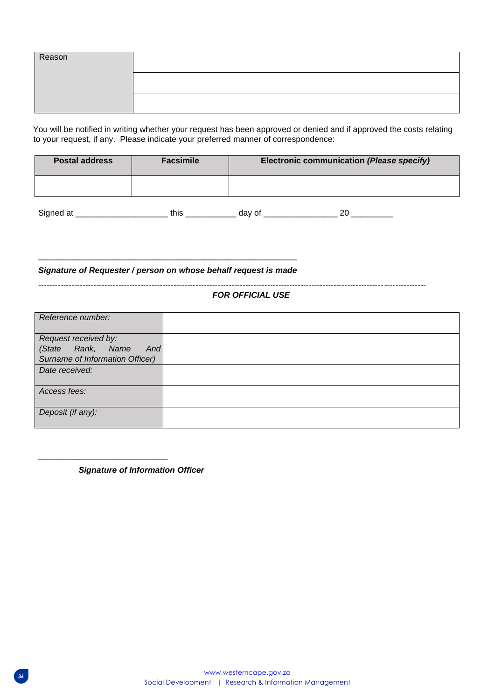| Reason |  |
|--------|--|
|        |  |
|        |  |

You will be notified in writing whether your request has been approved or denied and if approved the costs relating to your request, if any. Please indicate your preferred manner of correspondence:

| <b>Postal address</b> | <b>Facsimile</b> | Electronic communication (Please specify) |
|-----------------------|------------------|-------------------------------------------|
|                       |                  |                                           |
| Signed at             | this             | 20<br>day of                              |

\_\_\_\_\_\_\_\_\_\_\_\_\_\_\_\_\_\_\_\_\_\_\_\_\_\_\_\_\_\_\_\_\_\_\_\_\_\_\_\_\_\_\_\_\_\_\_\_\_\_\_\_\_\_\_\_ *Signature of Requester / person on whose behalf request is made* 

--------------------------------------------------------------------------------------------------------------------------------------------

#### *FOR OFFICIAL USE*

| Reference number:               |  |
|---------------------------------|--|
| Request received by:            |  |
| Rank, Name<br>And<br>(State     |  |
| Surname of Information Officer) |  |
| Date received:                  |  |
|                                 |  |
| Access fees:                    |  |
|                                 |  |
| Deposit (if any):               |  |
|                                 |  |

*Signature of Information Officer*

\_\_\_\_\_\_\_\_\_\_\_\_\_\_\_\_\_\_\_\_\_\_\_\_\_\_\_\_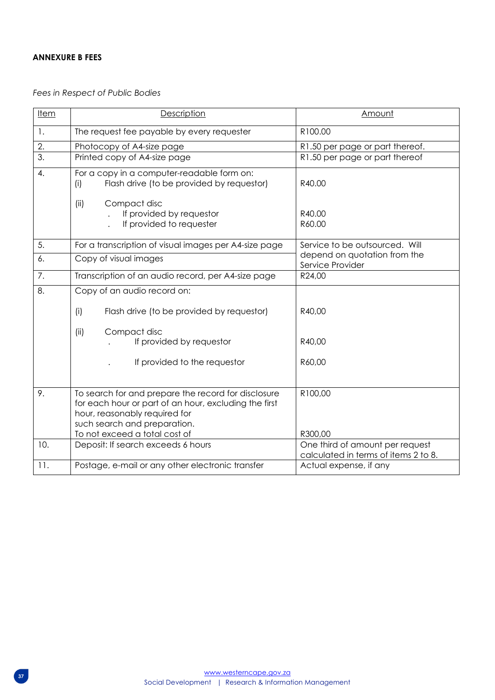#### **ANNEXURE B FEES**

*Fees in Respect of Public Bodies*

| <b>Item</b>      | Description                                                                                                                                                                                                    | Amount                                                                  |  |  |  |  |
|------------------|----------------------------------------------------------------------------------------------------------------------------------------------------------------------------------------------------------------|-------------------------------------------------------------------------|--|--|--|--|
| 1.               | The request fee payable by every requester                                                                                                                                                                     | R100.00                                                                 |  |  |  |  |
| 2.               | Photocopy of A4-size page                                                                                                                                                                                      | R1.50 per page or part thereof.                                         |  |  |  |  |
| $\overline{3}$ . | Printed copy of A4-size page                                                                                                                                                                                   | R1.50 per page or part thereof                                          |  |  |  |  |
| 4.               | For a copy in a computer-readable form on:<br>Flash drive (to be provided by requestor)<br>(i)                                                                                                                 | R40.00                                                                  |  |  |  |  |
|                  | (ii)<br>Compact disc<br>If provided by requestor<br>If provided to requester                                                                                                                                   | R40.00<br>R60.00                                                        |  |  |  |  |
| 5.               | For a transcription of visual images per A4-size page                                                                                                                                                          | Service to be outsourced. Will                                          |  |  |  |  |
| 6.               | Copy of visual images                                                                                                                                                                                          | depend on quotation from the<br>Service Provider                        |  |  |  |  |
| 7.               | Transcription of an audio record, per A4-size page                                                                                                                                                             | R24,00                                                                  |  |  |  |  |
| 8.               | Copy of an audio record on:                                                                                                                                                                                    |                                                                         |  |  |  |  |
|                  | Flash drive (to be provided by requestor)<br>(i)                                                                                                                                                               | R40,00                                                                  |  |  |  |  |
|                  | (ii)<br>Compact disc<br>If provided by requestor<br>If provided to the requestor                                                                                                                               | R40,00<br>R60,00                                                        |  |  |  |  |
|                  |                                                                                                                                                                                                                |                                                                         |  |  |  |  |
| 9.               | To search for and prepare the record for disclosure<br>for each hour or part of an hour, excluding the first<br>hour, reasonably required for<br>such search and preparation.<br>To not exceed a total cost of | R100,00<br>R300,00                                                      |  |  |  |  |
| 10.              | Deposit: If search exceeds 6 hours                                                                                                                                                                             | One third of amount per request<br>calculated in terms of items 2 to 8. |  |  |  |  |
| 11.              | Postage, e-mail or any other electronic transfer                                                                                                                                                               | Actual expense, if any                                                  |  |  |  |  |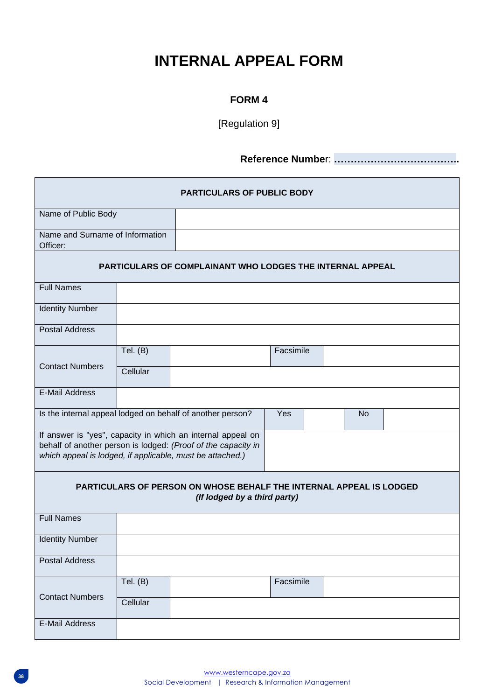# **INTERNAL APPEAL FORM**

## **FORM 4**

[Regulation 9]

**Reference Numbe**r: **………………………………..**

| <b>PARTICULARS OF PUBLIC BODY</b>                                |            |                                                                                                                              |           |  |           |  |  |  |
|------------------------------------------------------------------|------------|------------------------------------------------------------------------------------------------------------------------------|-----------|--|-----------|--|--|--|
| Name of Public Body                                              |            |                                                                                                                              |           |  |           |  |  |  |
| Name and Surname of Information<br>Officer:                      |            |                                                                                                                              |           |  |           |  |  |  |
| <b>PARTICULARS OF COMPLAINANT WHO LODGES THE INTERNAL APPEAL</b> |            |                                                                                                                              |           |  |           |  |  |  |
| <b>Full Names</b>                                                |            |                                                                                                                              |           |  |           |  |  |  |
| <b>Identity Number</b>                                           |            |                                                                                                                              |           |  |           |  |  |  |
| <b>Postal Address</b>                                            |            |                                                                                                                              |           |  |           |  |  |  |
| <b>Contact Numbers</b>                                           | Tel. $(B)$ |                                                                                                                              | Facsimile |  |           |  |  |  |
|                                                                  | Cellular   |                                                                                                                              |           |  |           |  |  |  |
| <b>E-Mail Address</b>                                            |            |                                                                                                                              |           |  |           |  |  |  |
|                                                                  |            | Is the internal appeal lodged on behalf of another person?                                                                   | Yes       |  | <b>No</b> |  |  |  |
| which appeal is lodged, if applicable, must be attached.)        |            | If answer is "yes", capacity in which an internal appeal on<br>behalf of another person is lodged: (Proof of the capacity in |           |  |           |  |  |  |
|                                                                  |            | PARTICULARS OF PERSON ON WHOSE BEHALF THE INTERNAL APPEAL IS LODGED<br>(If lodged by a third party)                          |           |  |           |  |  |  |
| <b>Full Names</b>                                                |            |                                                                                                                              |           |  |           |  |  |  |
| <b>Identity Number</b>                                           |            |                                                                                                                              |           |  |           |  |  |  |
| <b>Postal Address</b>                                            |            |                                                                                                                              |           |  |           |  |  |  |
|                                                                  | Tel. $(B)$ |                                                                                                                              | Facsimile |  |           |  |  |  |
| <b>Contact Numbers</b>                                           | Cellular   |                                                                                                                              |           |  |           |  |  |  |
| E-Mail Address                                                   |            |                                                                                                                              |           |  |           |  |  |  |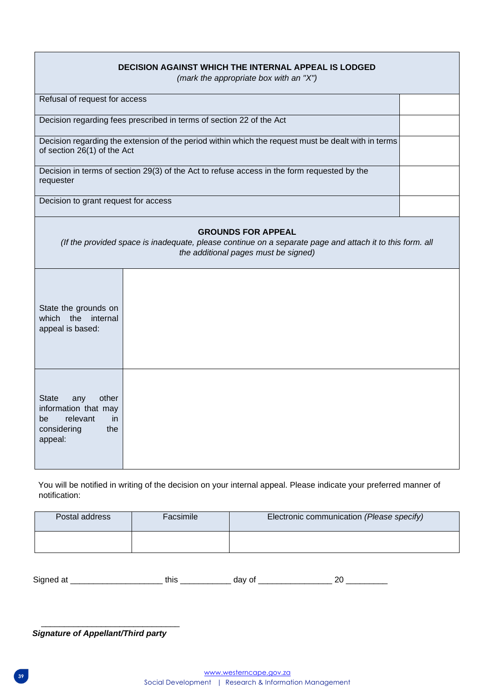| <b>DECISION AGAINST WHICH THE INTERNAL APPEAL IS LODGED</b><br>(mark the appropriate box with an "X")          |                                                                                                                                                                               |  |  |  |  |  |  |  |
|----------------------------------------------------------------------------------------------------------------|-------------------------------------------------------------------------------------------------------------------------------------------------------------------------------|--|--|--|--|--|--|--|
|                                                                                                                | Refusal of request for access                                                                                                                                                 |  |  |  |  |  |  |  |
|                                                                                                                | Decision regarding fees prescribed in terms of section 22 of the Act                                                                                                          |  |  |  |  |  |  |  |
| of section 26(1) of the Act                                                                                    | Decision regarding the extension of the period within which the request must be dealt with in terms                                                                           |  |  |  |  |  |  |  |
| requester                                                                                                      | Decision in terms of section 29(3) of the Act to refuse access in the form requested by the                                                                                   |  |  |  |  |  |  |  |
| Decision to grant request for access                                                                           |                                                                                                                                                                               |  |  |  |  |  |  |  |
|                                                                                                                | <b>GROUNDS FOR APPEAL</b><br>(If the provided space is inadequate, please continue on a separate page and attach it to this form. all<br>the additional pages must be signed) |  |  |  |  |  |  |  |
| State the grounds on<br>which the internal<br>appeal is based:                                                 |                                                                                                                                                                               |  |  |  |  |  |  |  |
| other<br><b>State</b><br>any<br>information that may<br>relevant<br>be<br>-in<br>considering<br>the<br>appeal: |                                                                                                                                                                               |  |  |  |  |  |  |  |

You will be notified in writing of the decision on your internal appeal. Please indicate your preferred manner of notification:

| Postal address | Facsimile | Electronic communication (Please specify) |
|----------------|-----------|-------------------------------------------|
|                |           |                                           |

Signed at \_\_\_\_\_\_\_\_\_\_\_\_\_\_\_\_\_\_\_\_ this \_\_\_\_\_\_\_\_\_\_\_ day of \_\_\_\_\_\_\_\_\_\_\_\_\_\_\_\_ 20 \_\_\_\_\_\_\_\_\_

*Signature of Appellant/Third party* 

\_\_\_\_\_\_\_\_\_\_\_\_\_\_\_\_\_\_\_\_\_\_\_\_\_\_\_\_\_\_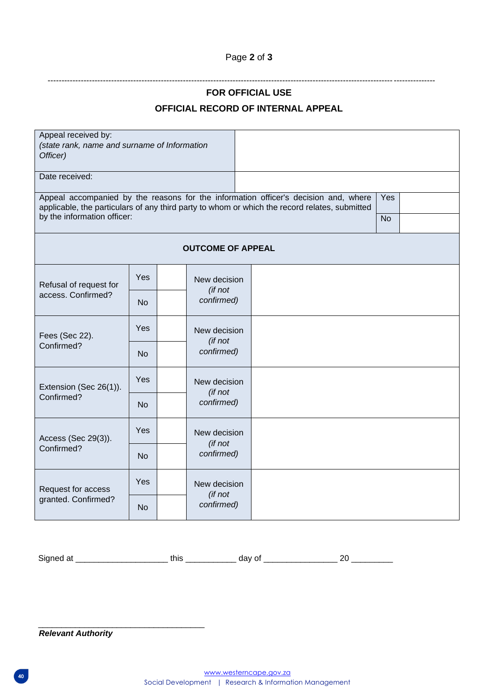## Page **2** of **3**

--------------------------------------------------------------------------------------------------------------------------------------------

## **FOR OFFICIAL USE**

## **OFFICIAL RECORD OF INTERNAL APPEAL**

| Appeal received by:                                                                                                                                                                  |            |            |                          |  |  |           |  |
|--------------------------------------------------------------------------------------------------------------------------------------------------------------------------------------|------------|------------|--------------------------|--|--|-----------|--|
| (state rank, name and surname of Information<br>Officer)                                                                                                                             |            |            |                          |  |  |           |  |
| Date received:                                                                                                                                                                       |            |            |                          |  |  |           |  |
| Appeal accompanied by the reasons for the information officer's decision and, where<br>applicable, the particulars of any third party to whom or which the record relates, submitted |            |            |                          |  |  | Yes       |  |
| by the information officer:                                                                                                                                                          |            |            |                          |  |  | <b>No</b> |  |
|                                                                                                                                                                                      |            |            | <b>OUTCOME OF APPEAL</b> |  |  |           |  |
| Refusal of request for                                                                                                                                                               | Yes        |            | New decision<br>(if not  |  |  |           |  |
| access. Confirmed?                                                                                                                                                                   | <b>No</b>  | confirmed) |                          |  |  |           |  |
| Fees (Sec 22).                                                                                                                                                                       | <b>Yes</b> |            | New decision<br>(if not  |  |  |           |  |
| Confirmed?                                                                                                                                                                           | <b>No</b>  |            | confirmed)               |  |  |           |  |
| Extension (Sec 26(1)).                                                                                                                                                               | Yes        |            | New decision<br>(if not  |  |  |           |  |
| Confirmed?                                                                                                                                                                           | No         |            | confirmed)               |  |  |           |  |
| Access (Sec 29(3)).                                                                                                                                                                  | Yes        |            | New decision<br>(if not  |  |  |           |  |
| Confirmed?<br><b>No</b>                                                                                                                                                              |            |            | confirmed)               |  |  |           |  |
| Request for access                                                                                                                                                                   | <b>Yes</b> |            | New decision<br>(if not  |  |  |           |  |
| granted. Confirmed?                                                                                                                                                                  | <b>No</b>  |            | confirmed)               |  |  |           |  |

Signed at \_\_\_\_\_\_\_\_\_\_\_\_\_\_\_\_\_\_\_\_ this \_\_\_\_\_\_\_\_\_\_\_ day of \_\_\_\_\_\_\_\_\_\_\_\_\_\_\_\_ 20 \_\_\_\_\_\_\_\_\_

*Relevant Authority* 

\_\_\_\_\_\_\_\_\_\_\_\_\_\_\_\_\_\_\_\_\_\_\_\_\_\_\_\_\_\_\_\_\_\_\_\_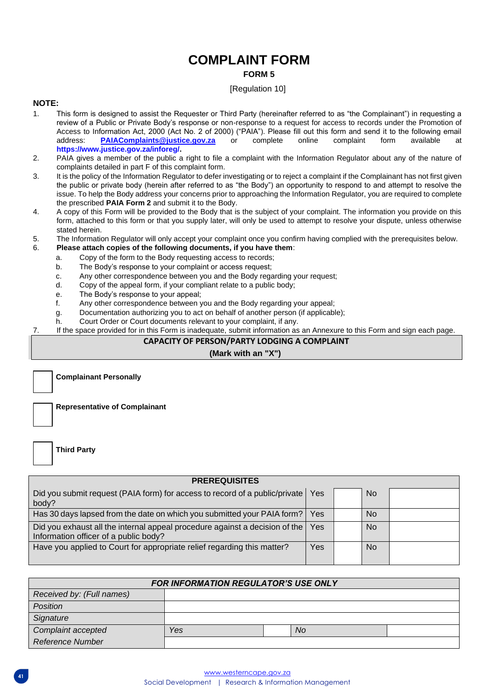## **COMPLAINT FORM FORM 5**

#### [Regulation 10]

#### **NOTE:**

- 1. This form is designed to assist the Requester or Third Party (hereinafter referred to as "the Complainant") in requesting a review of a Public or Private Body's response or non-response to a request for access to records under the Promotion of Access to Information Act, 2000 (Act No. 2 of 2000) ("PAIA"). Please fill out this form and send it to the following email address: <br>address: PAIAComplaints@iustice.gov.za or complete online complaint form available at address: **PAIAComplaints@justice.gov.za** or complete online complaint form available a[t](https://www.justice.gov.za/inforeg/) **[https://www.justice.gov.za/inforeg/.](https://www.justice.gov.za/inforeg/)**
- 2. PAIA gives a member of the public a right to file a complaint with the Information Regulator about any of the nature of complaints detailed in part F of this complaint form.
- 3. It is the policy of the Information Regulator to defer investigating or to reject a complaint if the Complainant has not first given the public or private body (herein after referred to as "the Body") an opportunity to respond to and attempt to resolve the issue. To help the Body address your concerns prior to approaching the Information Regulator, you are required to complete the prescribed **PAIA Form 2** and submit it to the Body.
- 4. A copy of this Form will be provided to the Body that is the subject of your complaint. The information you provide on this form, attached to this form or that you supply later, will only be used to attempt to resolve your dispute, unless otherwise stated herein.
- 5. The Information Regulator will only accept your complaint once you confirm having complied with the prerequisites below.

#### 6. **Please attach copies of the following documents, if you have them**:

- a. Copy of the form to the Body requesting access to records;
- b. The Body's response to your complaint or access request;
- c. Any other correspondence between you and the Body regarding your request;
- d. Copy of the appeal form, if your compliant relate to a public body;
- e. The Body's response to your appeal;
- f. Any other correspondence between you and the Body regarding your appeal;
- g. Documentation authorizing you to act on behalf of another person (if applicable);
- h. Court Order or Court documents relevant to your complaint, if any.
- 7. If the space provided for in this Form is inadequate, submit information as an Annexure to this Form and sign each page.

#### **CAPACITY OF PERSON/PARTY LODGING A COMPLAINT**

#### **(Mark with an "X")**

**Complainant Personally** 

**Representative of Complainant** 

**Third Party** 

| <b>PREREQUISITES</b>                                                                                                 |            |                |  |
|----------------------------------------------------------------------------------------------------------------------|------------|----------------|--|
| Did you submit request (PAIA form) for access to record of a public/private<br>body?                                 | <b>Yes</b> | No.            |  |
| Has 30 days lapsed from the date on which you submitted your PAIA form?                                              | Yes        | N <sub>o</sub> |  |
| Did you exhaust all the internal appeal procedure against a decision of the<br>Information officer of a public body? | Yes.       | N <sub>o</sub> |  |
| Have you applied to Court for appropriate relief regarding this matter?                                              | Yes        | <b>No</b>      |  |

| <b>FOR INFORMATION REGULATOR'S USE ONLY</b> |     |  |     |  |  |  |  |
|---------------------------------------------|-----|--|-----|--|--|--|--|
| Received by: (Full names)                   |     |  |     |  |  |  |  |
| <b>Position</b>                             |     |  |     |  |  |  |  |
| Signature                                   |     |  |     |  |  |  |  |
| Complaint accepted                          | Yes |  | No. |  |  |  |  |
| <b>Reference Number</b>                     |     |  |     |  |  |  |  |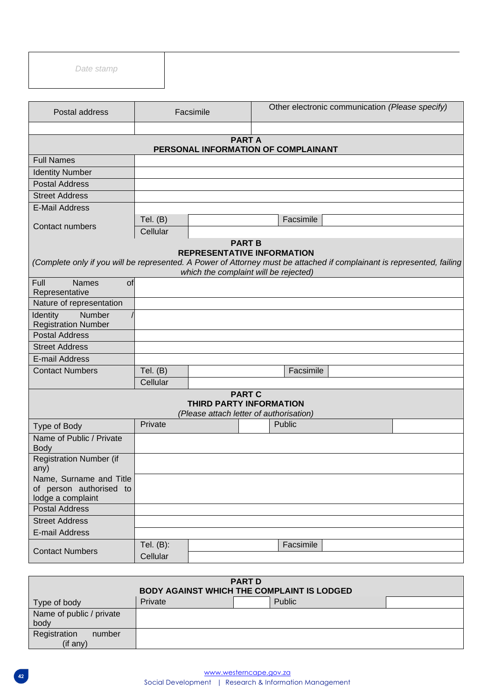*Date stamp* 

| Postal address                                                                                                                                                                                                        |                          | Facsimile                                                                           |           | Other electronic communication (Please specify) |  |  |  |  |
|-----------------------------------------------------------------------------------------------------------------------------------------------------------------------------------------------------------------------|--------------------------|-------------------------------------------------------------------------------------|-----------|-------------------------------------------------|--|--|--|--|
|                                                                                                                                                                                                                       |                          | <b>PARTA</b><br>PERSONAL INFORMATION OF COMPLAINANT                                 |           |                                                 |  |  |  |  |
| <b>Full Names</b>                                                                                                                                                                                                     |                          |                                                                                     |           |                                                 |  |  |  |  |
| <b>Identity Number</b>                                                                                                                                                                                                |                          |                                                                                     |           |                                                 |  |  |  |  |
| <b>Postal Address</b>                                                                                                                                                                                                 |                          |                                                                                     |           |                                                 |  |  |  |  |
| <b>Street Address</b>                                                                                                                                                                                                 |                          |                                                                                     |           |                                                 |  |  |  |  |
| <b>E-Mail Address</b>                                                                                                                                                                                                 |                          |                                                                                     |           |                                                 |  |  |  |  |
| Contact numbers                                                                                                                                                                                                       | Tel. $(B)$<br>Cellular   |                                                                                     | Facsimile |                                                 |  |  |  |  |
| <b>PART B</b><br><b>REPRESENTATIVE INFORMATION</b><br>(Complete only if you will be represented. A Power of Attorney must be attached if complainant is represented, failing<br>which the complaint will be rejected) |                          |                                                                                     |           |                                                 |  |  |  |  |
| Full<br><b>Names</b><br>of                                                                                                                                                                                            |                          |                                                                                     |           |                                                 |  |  |  |  |
| Representative                                                                                                                                                                                                        |                          |                                                                                     |           |                                                 |  |  |  |  |
| Nature of representation<br>Number<br>Identity                                                                                                                                                                        |                          |                                                                                     |           |                                                 |  |  |  |  |
| <b>Registration Number</b>                                                                                                                                                                                            |                          |                                                                                     |           |                                                 |  |  |  |  |
| <b>Postal Address</b>                                                                                                                                                                                                 |                          |                                                                                     |           |                                                 |  |  |  |  |
| <b>Street Address</b>                                                                                                                                                                                                 |                          |                                                                                     |           |                                                 |  |  |  |  |
| E-mail Address                                                                                                                                                                                                        |                          |                                                                                     |           |                                                 |  |  |  |  |
| <b>Contact Numbers</b>                                                                                                                                                                                                | Tel. $(B)$               |                                                                                     |           | Facsimile                                       |  |  |  |  |
|                                                                                                                                                                                                                       | Cellular                 |                                                                                     |           |                                                 |  |  |  |  |
|                                                                                                                                                                                                                       |                          | <b>PART C</b><br>THIRD PARTY INFORMATION<br>(Please attach letter of authorisation) |           |                                                 |  |  |  |  |
| Type of Body                                                                                                                                                                                                          | Private                  |                                                                                     | Public    |                                                 |  |  |  |  |
| Name of Public / Private<br><b>Body</b>                                                                                                                                                                               |                          |                                                                                     |           |                                                 |  |  |  |  |
| <b>Registration Number (if</b><br>any)                                                                                                                                                                                |                          |                                                                                     |           |                                                 |  |  |  |  |
| Name, Surname and Title<br>of person authorised to<br>lodge a complaint                                                                                                                                               |                          |                                                                                     |           |                                                 |  |  |  |  |
| <b>Postal Address</b>                                                                                                                                                                                                 |                          |                                                                                     |           |                                                 |  |  |  |  |
| <b>Street Address</b>                                                                                                                                                                                                 |                          |                                                                                     |           |                                                 |  |  |  |  |
| E-mail Address                                                                                                                                                                                                        |                          |                                                                                     |           |                                                 |  |  |  |  |
| <b>Contact Numbers</b>                                                                                                                                                                                                | Tel. $(B)$ :<br>Cellular |                                                                                     | Facsimile |                                                 |  |  |  |  |
|                                                                                                                                                                                                                       |                          |                                                                                     |           |                                                 |  |  |  |  |

| <b>PART D</b>                                     |  |  |  |  |  |  |  |
|---------------------------------------------------|--|--|--|--|--|--|--|
| <b>BODY AGAINST WHICH THE COMPLAINT IS LODGED</b> |  |  |  |  |  |  |  |
| Public<br>Private<br>Type of body                 |  |  |  |  |  |  |  |
| Name of public / private                          |  |  |  |  |  |  |  |
|                                                   |  |  |  |  |  |  |  |
|                                                   |  |  |  |  |  |  |  |
|                                                   |  |  |  |  |  |  |  |
|                                                   |  |  |  |  |  |  |  |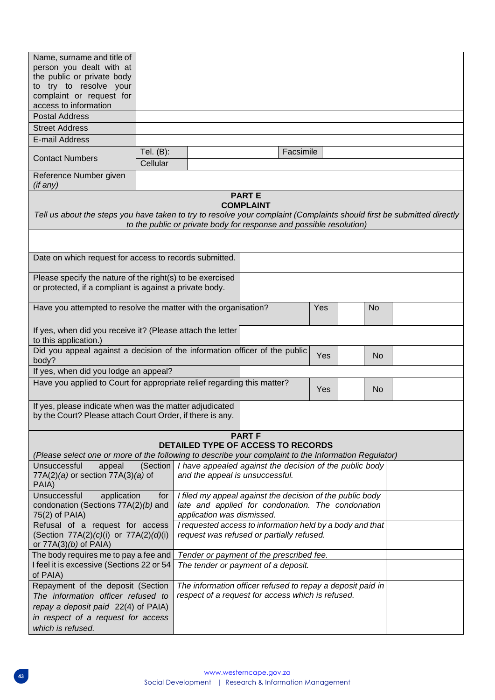| Name, surname and title of<br>person you dealt with at                                                                 |                                                                                    |                                                                                 |                                  |           |     |  |           |  |
|------------------------------------------------------------------------------------------------------------------------|------------------------------------------------------------------------------------|---------------------------------------------------------------------------------|----------------------------------|-----------|-----|--|-----------|--|
| the public or private body                                                                                             |                                                                                    |                                                                                 |                                  |           |     |  |           |  |
| to try to resolve your                                                                                                 |                                                                                    |                                                                                 |                                  |           |     |  |           |  |
| complaint or request for<br>access to information                                                                      |                                                                                    |                                                                                 |                                  |           |     |  |           |  |
| <b>Postal Address</b>                                                                                                  |                                                                                    |                                                                                 |                                  |           |     |  |           |  |
| <b>Street Address</b>                                                                                                  |                                                                                    |                                                                                 |                                  |           |     |  |           |  |
| E-mail Address                                                                                                         |                                                                                    |                                                                                 |                                  |           |     |  |           |  |
|                                                                                                                        | Tel. (B):                                                                          |                                                                                 |                                  | Facsimile |     |  |           |  |
| <b>Contact Numbers</b>                                                                                                 | Cellular                                                                           |                                                                                 |                                  |           |     |  |           |  |
| Reference Number given                                                                                                 |                                                                                    |                                                                                 |                                  |           |     |  |           |  |
| (if any)                                                                                                               |                                                                                    |                                                                                 |                                  |           |     |  |           |  |
|                                                                                                                        |                                                                                    |                                                                                 | <b>PARTE</b><br><b>COMPLAINT</b> |           |     |  |           |  |
| Tell us about the steps you have taken to try to resolve your complaint (Complaints should first be submitted directly |                                                                                    |                                                                                 |                                  |           |     |  |           |  |
|                                                                                                                        |                                                                                    | to the public or private body for response and possible resolution)             |                                  |           |     |  |           |  |
|                                                                                                                        |                                                                                    |                                                                                 |                                  |           |     |  |           |  |
| Date on which request for access to records submitted.                                                                 |                                                                                    |                                                                                 |                                  |           |     |  |           |  |
| Please specify the nature of the right(s) to be exercised                                                              |                                                                                    |                                                                                 |                                  |           |     |  |           |  |
| or protected, if a compliant is against a private body.                                                                |                                                                                    |                                                                                 |                                  |           |     |  |           |  |
| Have you attempted to resolve the matter with the organisation?                                                        |                                                                                    |                                                                                 |                                  |           |     |  | <b>No</b> |  |
| If yes, when did you receive it? (Please attach the letter<br>to this application.)                                    |                                                                                    |                                                                                 |                                  |           |     |  |           |  |
| Did you appeal against a decision of the information officer of the public<br>body?                                    |                                                                                    |                                                                                 |                                  |           | Yes |  | <b>No</b> |  |
| If yes, when did you lodge an appeal?                                                                                  |                                                                                    |                                                                                 |                                  |           |     |  |           |  |
| Have you applied to Court for appropriate relief regarding this matter?                                                |                                                                                    |                                                                                 |                                  |           | Yes |  | <b>No</b> |  |
| If yes, please indicate when was the matter adjudicated<br>by the Court? Please attach Court Order, if there is any.   |                                                                                    |                                                                                 |                                  |           |     |  |           |  |
|                                                                                                                        |                                                                                    |                                                                                 | <b>PART F</b>                    |           |     |  |           |  |
| (Please select one or more of the following to describe your complaint to the Information Regulator)                   |                                                                                    | <b>DETAILED TYPE OF ACCESS TO RECORDS</b>                                       |                                  |           |     |  |           |  |
| Unsuccessful<br>appeal                                                                                                 | (Section                                                                           | I have appealed against the decision of the public body                         |                                  |           |     |  |           |  |
| 77A(2)(a) or section 77A(3)(a) of<br>PAIA)                                                                             |                                                                                    | and the appeal is unsuccessful.                                                 |                                  |           |     |  |           |  |
| Unsuccessful<br>application                                                                                            | for                                                                                | I filed my appeal against the decision of the public body                       |                                  |           |     |  |           |  |
| condonation (Sections 77A(2)(b) and<br>75(2) of PAIA)                                                                  |                                                                                    | late and applied for condonation. The condonation<br>application was dismissed. |                                  |           |     |  |           |  |
| Refusal of a request for access                                                                                        |                                                                                    | I requested access to information held by a body and that                       |                                  |           |     |  |           |  |
| or $77A(3)(b)$ of PAIA)                                                                                                | request was refused or partially refused.<br>(Section 77A(2)(c)(i) or 77A(2)(d)(i) |                                                                                 |                                  |           |     |  |           |  |
| The body requires me to pay a fee and                                                                                  | Tender or payment of the prescribed fee.                                           |                                                                                 |                                  |           |     |  |           |  |
| I feel it is excessive (Sections 22 or 54<br>of PAIA)                                                                  | The tender or payment of a deposit.                                                |                                                                                 |                                  |           |     |  |           |  |
| Repayment of the deposit (Section                                                                                      |                                                                                    | The information officer refused to repay a deposit paid in                      |                                  |           |     |  |           |  |
| The information officer refused to                                                                                     |                                                                                    | respect of a request for access which is refused.                               |                                  |           |     |  |           |  |
| repay a deposit paid 22(4) of PAIA)                                                                                    |                                                                                    |                                                                                 |                                  |           |     |  |           |  |
| in respect of a request for access                                                                                     |                                                                                    |                                                                                 |                                  |           |     |  |           |  |
| which is refused.                                                                                                      |                                                                                    |                                                                                 |                                  |           |     |  |           |  |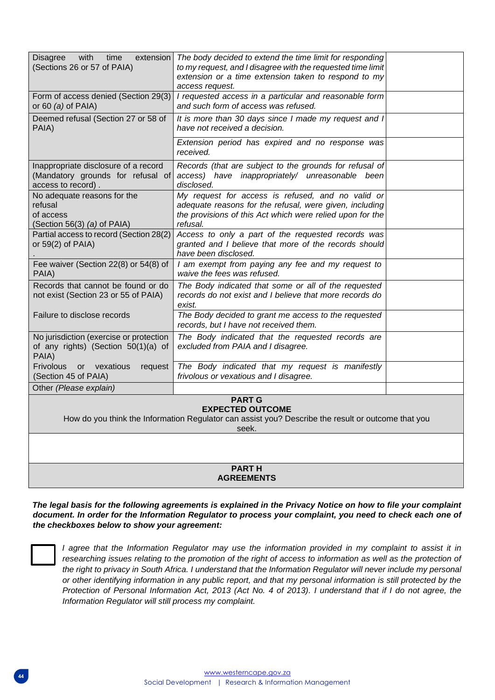| <b>Disagree</b><br>with<br>time<br>extension<br>(Sections 26 or 57 of PAIA)                                                                             | The body decided to extend the time limit for responding<br>to my request, and I disagree with the requested time limit<br>extension or a time extension taken to respond to my<br>access request. |  |
|---------------------------------------------------------------------------------------------------------------------------------------------------------|----------------------------------------------------------------------------------------------------------------------------------------------------------------------------------------------------|--|
| Form of access denied (Section 29(3)<br>or 60 $(a)$ of PAIA)                                                                                            | I requested access in a particular and reasonable form<br>and such form of access was refused.                                                                                                     |  |
| Deemed refusal (Section 27 or 58 of<br>PAIA)                                                                                                            | It is more than 30 days since I made my request and I<br>have not received a decision.                                                                                                             |  |
|                                                                                                                                                         | Extension period has expired and no response was<br>received.                                                                                                                                      |  |
| Inappropriate disclosure of a record<br>(Mandatory grounds for refusal of<br>access to record).                                                         | Records (that are subject to the grounds for refusal of<br>access) have inappropriately/ unreasonable been<br>disclosed.                                                                           |  |
| No adequate reasons for the<br>refusal<br>of access<br>(Section 56(3) $(a)$ of PAIA)                                                                    | My request for access is refused, and no valid or<br>adequate reasons for the refusal, were given, including<br>the provisions of this Act which were relied upon for the<br>refusal.              |  |
| Partial access to record (Section 28(2)<br>or $59(2)$ of PAIA)                                                                                          | Access to only a part of the requested records was<br>granted and I believe that more of the records should<br>have been disclosed.                                                                |  |
| Fee waiver (Section 22(8) or 54(8) of<br>PAIA)                                                                                                          | I am exempt from paying any fee and my request to<br>waive the fees was refused.                                                                                                                   |  |
| Records that cannot be found or do<br>not exist (Section 23 or 55 of PAIA)                                                                              | The Body indicated that some or all of the requested<br>records do not exist and I believe that more records do<br>exist.                                                                          |  |
| Failure to disclose records                                                                                                                             | The Body decided to grant me access to the requested<br>records, but I have not received them.                                                                                                     |  |
| No jurisdiction (exercise or protection<br>of any rights) (Section 50(1)(a) of<br>PAIA)                                                                 | The Body indicated that the requested records are<br>excluded from PAIA and I disagree.                                                                                                            |  |
| <b>Frivolous</b><br>or vexatious<br>request<br>(Section 45 of PAIA)                                                                                     | The Body indicated that my request is manifestly<br>frivolous or vexatious and I disagree.                                                                                                         |  |
| Other (Please explain)                                                                                                                                  |                                                                                                                                                                                                    |  |
| <b>PART G</b><br><b>EXPECTED OUTCOME</b><br>How do you think the Information Regulator can assist you? Describe the result or outcome that you<br>seek. |                                                                                                                                                                                                    |  |
|                                                                                                                                                         |                                                                                                                                                                                                    |  |
| <b>PARTH</b><br><b>AGREEMENTS</b>                                                                                                                       |                                                                                                                                                                                                    |  |
|                                                                                                                                                         |                                                                                                                                                                                                    |  |

*The legal basis for the following agreements is explained in the Privacy Notice on how to file your complaint document. In order for the Information Regulator to process your complaint, you need to check each one of the checkboxes below to show your agreement:*

*I agree that the Information Regulator may use the information provided in my complaint to assist it in*  researching issues relating to the promotion of the right of access to information as well as the protection of the right to privacy in South Africa. I understand that the Information Regulator will never include my personal *or other identifying information in any public report, and that my personal information is still protected by the Protection of Personal Information Act, 2013 (Act No. 4 of 2013). I understand that if I do not agree, the Information Regulator will still process my complaint.*